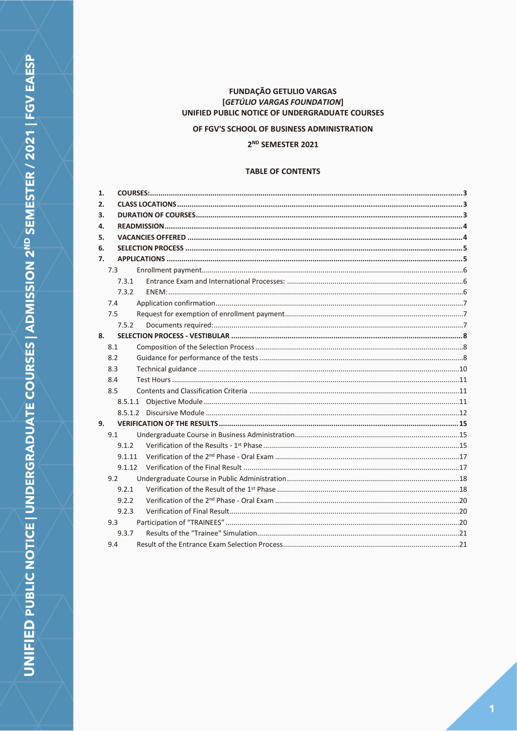# **FUNDAÇÃO GETULIO VARGAS** [GETÚLIO VARGAS FOUNDATION] UNIFIED PUBLIC NOTICE OF UNDERGRADUATE COURSES

OF FGV'S SCHOOL OF BUSINESS ADMINISTRATION

# 2<sup>ND</sup> SEMESTER 2021

# **TABLE OF CONTENTS**

| 1. |       |  |
|----|-------|--|
| 2. |       |  |
| 3. |       |  |
| 4. |       |  |
| 5. |       |  |
| 6. |       |  |
| 7. |       |  |
|    | 7.3   |  |
|    | 7.3.1 |  |
|    | 7.3.2 |  |
|    | 7.4   |  |
|    | 7.5   |  |
|    | 7.5.2 |  |
| 8. |       |  |
|    | 8.1   |  |
|    | 8.2   |  |
|    | 8.3   |  |
|    | 8.4   |  |
|    | 8.5   |  |
|    |       |  |
|    |       |  |
| 9. |       |  |
|    | 9.1   |  |
|    | 9.1.2 |  |
|    |       |  |
|    |       |  |
|    | 9.2   |  |
|    | 9.2.1 |  |
|    | 9.2.2 |  |
|    | 9.2.3 |  |
|    | 9.3   |  |
|    | 9.3.7 |  |
|    | 9.4   |  |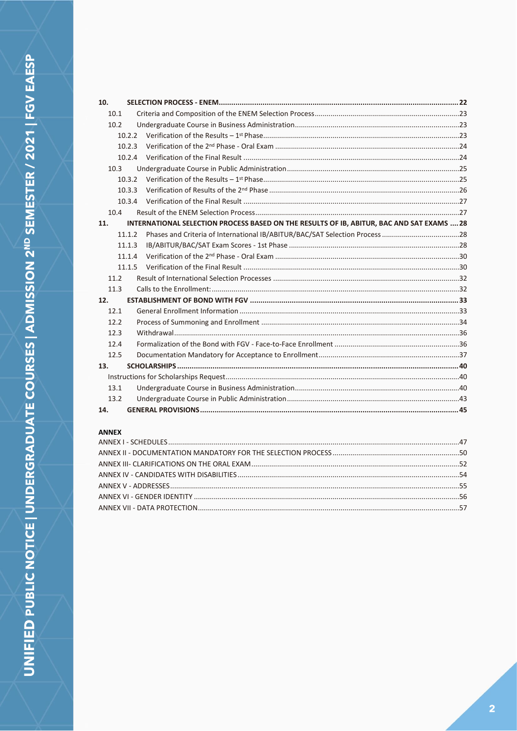| 10.  |                                                                                           |  |
|------|-------------------------------------------------------------------------------------------|--|
| 10.1 |                                                                                           |  |
| 10.2 |                                                                                           |  |
|      | 10.2.2                                                                                    |  |
|      | 10.2.3                                                                                    |  |
|      | 10.2.4                                                                                    |  |
| 10.3 |                                                                                           |  |
|      | 10.3.2                                                                                    |  |
|      | 10.3.3                                                                                    |  |
|      | 10.3.4                                                                                    |  |
| 10.4 |                                                                                           |  |
| 11.  | INTERNATIONAL SELECTION PROCESS BASED ON THE RESULTS OF IB, ABITUR, BAC AND SAT EXAMS  28 |  |
|      | 11.1.2                                                                                    |  |
|      | 11.1.3                                                                                    |  |
|      | 11.1.4                                                                                    |  |
|      | 11.1.5                                                                                    |  |
| 11.2 |                                                                                           |  |
| 11.3 |                                                                                           |  |
| 12.  |                                                                                           |  |
| 12.1 |                                                                                           |  |
| 12.2 |                                                                                           |  |
| 12.3 |                                                                                           |  |
| 12.4 |                                                                                           |  |
| 12.5 |                                                                                           |  |
| 13.  |                                                                                           |  |
|      |                                                                                           |  |
| 13.1 |                                                                                           |  |
| 13.2 |                                                                                           |  |
| 14.  |                                                                                           |  |

# **ANNEX**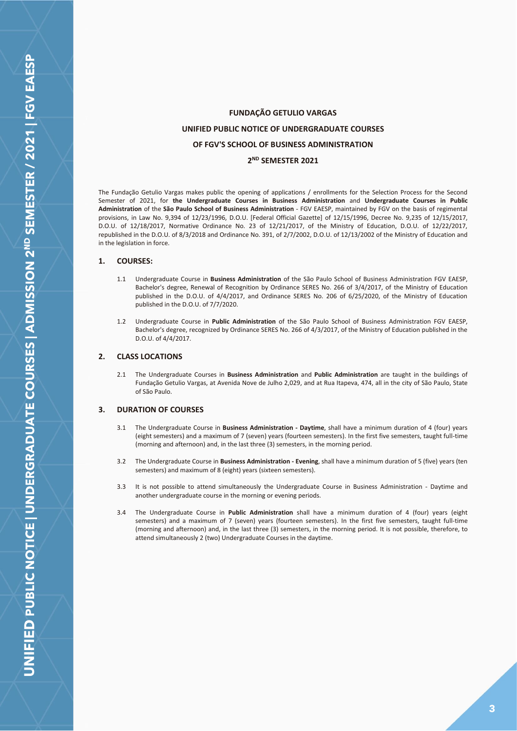# **FUNDAÇÃO GETULIO VARGAS UNIFIED PUBLIC NOTICE OF UNDERGRADUATE COURSES OF FGV'S SCHOOL OF BUSINESS ADMINISTRATION 2 ND SEMESTER 2021**

The Fundação Getulio Vargas makes public the opening of applications / enrollments for the Selection Process for the Second Semester of 2021, for **the Undergraduate Courses in Business Administration** and **Undergraduate Courses in Public Administration** of the **São Paulo School of Business Administration** - FGV EAESP, maintained by FGV on the basis of regimental provisions, in Law No. 9,394 of 12/23/1996, D.O.U. [Federal Official Gazette] of 12/15/1996, Decree No. 9,235 of 12/15/2017, D.O.U. of 12/18/2017, Normative Ordinance No. 23 of 12/21/2017, of the Ministry of Education, D.O.U. of 12/22/2017, republished in the D.O.U. of 8/3/2018 and Ordinance No. 391, of 2/7/2002, D.O.U. of 12/13/2002 of the Ministry of Education and in the legislation in force.

## <span id="page-2-0"></span>**1. COURSES:**

- 1.1 Undergraduate Course in **Business Administration** of the São Paulo School of Business Administration FGV EAESP, Bachelor's degree, Renewal of Recognition by Ordinance SERES No. 266 of 3/4/2017, of the Ministry of Education published in the D.O.U. of 4/4/2017, and Ordinance SERES No. 206 of 6/25/2020, of the Ministry of Education published in the D.O.U. of 7/7/2020.
- 1.2 Undergraduate Course in **Public Administration** of the São Paulo School of Business Administration FGV EAESP, Bachelor's degree, recognized by Ordinance SERES No. 266 of 4/3/2017, of the Ministry of Education published in the D.O.U. of 4/4/2017.

## <span id="page-2-1"></span>**2. CLASS LOCATIONS**

2.1 The Undergraduate Courses in **Business Administration** and **Public Administration** are taught in the buildings of Fundação Getulio Vargas, at Avenida Nove de Julho 2,029, and at Rua Itapeva, 474, all in the city of São Paulo, State of São Paulo.

## <span id="page-2-2"></span>**3. DURATION OF COURSES**

- 3.1 The Undergraduate Course in **Business Administration - Daytime**, shall have a minimum duration of 4 (four) years (eight semesters) and a maximum of 7 (seven) years (fourteen semesters). In the first five semesters, taught full-time (morning and afternoon) and, in the last three (3) semesters, in the morning period.
- 3.2 The Undergraduate Course in **Business Administration - Evening**, shall have a minimum duration of 5 (five) years (ten semesters) and maximum of 8 (eight) years (sixteen semesters).
- 3.3 It is not possible to attend simultaneously the Undergraduate Course in Business Administration Daytime and another undergraduate course in the morning or evening periods.
- 3.4 The Undergraduate Course in **Public Administration** shall have a minimum duration of 4 (four) years (eight semesters) and a maximum of 7 (seven) years (fourteen semesters). In the first five semesters, taught full-time (morning and afternoon) and, in the last three (3) semesters, in the morning period. It is not possible, therefore, to attend simultaneously 2 (two) Undergraduate Courses in the daytime.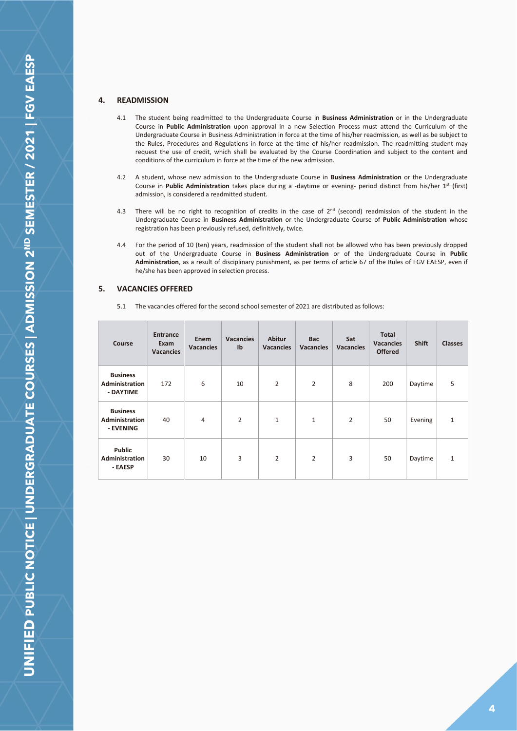## <span id="page-3-0"></span>**4. READMISSION**

- 4.1 The student being readmitted to the Undergraduate Course in **Business Administration** or in the Undergraduate Course in **Public Administration** upon approval in a new Selection Process must attend the Curriculum of the Undergraduate Course in Business Administration in force at the time of his/her readmission, as well as be subject to the Rules, Procedures and Regulations in force at the time of his/her readmission. The readmitting student may request the use of credit, which shall be evaluated by the Course Coordination and subject to the content and conditions of the curriculum in force at the time of the new admission.
- 4.2 A student, whose new admission to the Undergraduate Course in **Business Administration** or the Undergraduate Course in Public Administration takes place during a -daytime or evening- period distinct from his/her 1<sup>st</sup> (first) admission, is considered a readmitted student.
- 4.3 There will be no right to recognition of credits in the case of  $2^{nd}$  (second) readmission of the student in the Undergraduate Course in **Business Administration** or the Undergraduate Course of **Public Administration** whose registration has been previously refused, definitively, twice.
- 4.4 For the period of 10 (ten) years, readmission of the student shall not be allowed who has been previously dropped out of the Undergraduate Course in **Business Administration** or of the Undergraduate Course in **Public Administration**, as a result of disciplinary punishment, as per terms of article 67 of the Rules of FGV EAESP, even if he/she has been approved in selection process.

## <span id="page-3-1"></span>**5. VACANCIES OFFERED**

|  | 5.1 The vacancies offered for the second school semester of 2021 are distributed as follows: |
|--|----------------------------------------------------------------------------------------------|
|--|----------------------------------------------------------------------------------------------|

| Course                                                | <b>Entrance</b><br>Exam<br><b>Vacancies</b> | Enem<br><b>Vacancies</b> | <b>Vacancies</b><br>$\mathsf{I}^{\mathsf{b}}$ | <b>Abitur</b><br><b>Vacancies</b> | <b>Bac</b><br><b>Vacancies</b> | Sat<br><b>Vacancies</b> | <b>Total</b><br><b>Vacancies</b><br><b>Offered</b> | <b>Shift</b> | <b>Classes</b> |
|-------------------------------------------------------|---------------------------------------------|--------------------------|-----------------------------------------------|-----------------------------------|--------------------------------|-------------------------|----------------------------------------------------|--------------|----------------|
| <b>Business</b><br><b>Administration</b><br>- DAYTIME | 172                                         | 6                        | 10                                            | $\overline{2}$                    | $\overline{2}$                 | 8                       | 200                                                | Daytime      | 5              |
| <b>Business</b><br><b>Administration</b><br>- EVENING | 40                                          | 4                        | $\overline{2}$                                | $\mathbf{1}$                      | $\mathbf{1}$                   | $\overline{2}$          | 50                                                 | Evening      | $\mathbf{1}$   |
| <b>Public</b><br><b>Administration</b><br>- EAESP     | 30                                          | 10                       | 3                                             | $\overline{2}$                    | 2                              | 3                       | 50                                                 | Daytime      | 1              |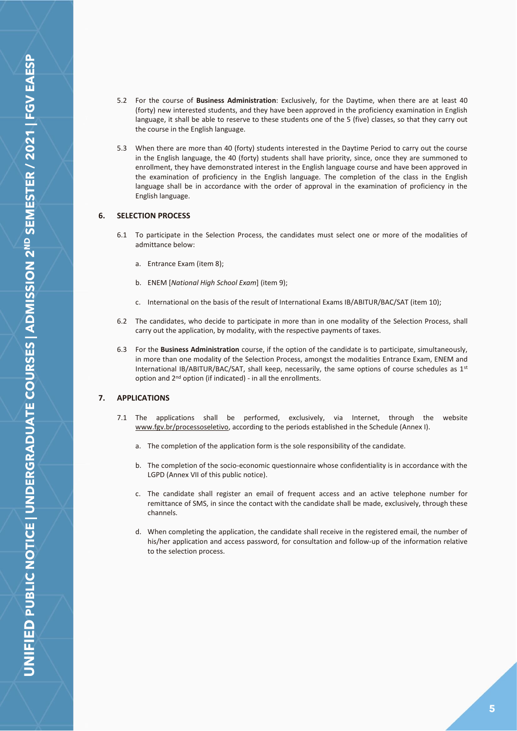- 5.2 For the course of **Business Administration**: Exclusively, for the Daytime, when there are at least 40 (forty) new interested students, and they have been approved in the proficiency examination in English language, it shall be able to reserve to these students one of the 5 (five) classes, so that they carry out the course in the English language.
- 5.3 When there are more than 40 (forty) students interested in the Daytime Period to carry out the course in the English language, the 40 (forty) students shall have priority, since, once they are summoned to enrollment, they have demonstrated interest in the English language course and have been approved in the examination of proficiency in the English language. The completion of the class in the English language shall be in accordance with the order of approval in the examination of proficiency in the English language.

## <span id="page-4-0"></span>**6. SELECTION PROCESS**

- 6.1 To participate in the Selection Process, the candidates must select one or more of the modalities of admittance below:
	- a. Entrance Exam (item 8);
	- b. ENEM [*National High School Exam*] (item 9);
	- c. International on the basis of the result of International Exams IB/ABITUR/BAC/SAT (item 10);
- 6.2 The candidates, who decide to participate in more than in one modality of the Selection Process, shall carry out the application, by modality, with the respective payments of taxes.
- 6.3 For the **Business Administration** course, if the option of the candidate is to participate, simultaneously, in more than one modality of the Selection Process, amongst the modalities Entrance Exam, ENEM and International IB/ABITUR/BAC/SAT, shall keep, necessarily, the same options of course schedules as 1st option and 2nd option (if indicated) - in all the enrollments.

## <span id="page-4-1"></span>**7. APPLICATIONS**

- 7.1 The applications shall be performed, exclusively, via Internet, through the website www.fgv.br/processoseletivo, according to the periods established in the Schedule (Annex I).
	- a. The completion of the application form is the sole responsibility of the candidate.
	- b. The completion of the socio-economic questionnaire whose confidentiality is in accordance with the LGPD (Annex VII of this public notice).
	- c. The candidate shall register an email of frequent access and an active telephone number for remittance of SMS, in since the contact with the candidate shall be made, exclusively, through these channels.
	- d. When completing the application, the candidate shall receive in the registered email, the number of his/her application and access password, for consultation and follow-up of the information relative to the selection process.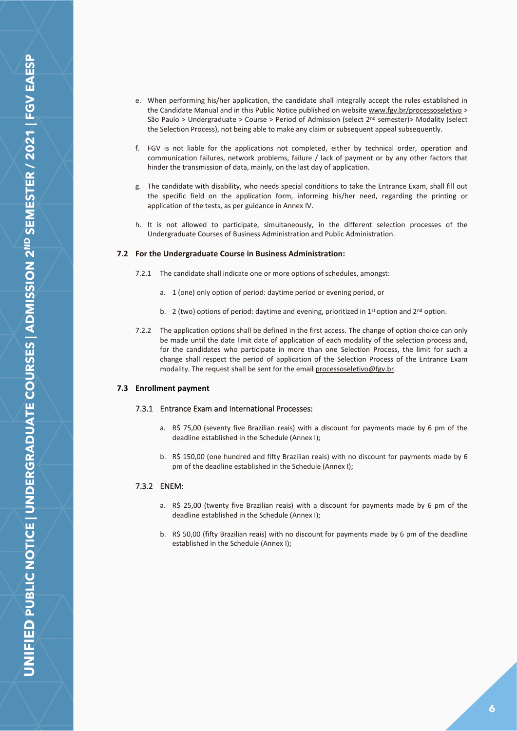- e. When performing his/her application, the candidate shall integrally accept the rules established in the Candidate Manual and in this Public Notice published on website www.fgv.br/processoseletivo > São Paulo > Undergraduate > Course > Period of Admission (select  $2^{nd}$  semester)> Modality (select the Selection Process), not being able to make any claim or subsequent appeal subsequently.
- f. FGV is not liable for the applications not completed, either by technical order, operation and communication failures, network problems, failure / lack of payment or by any other factors that hinder the transmission of data, mainly, on the last day of application.
- g. The candidate with disability, who needs special conditions to take the Entrance Exam, shall fill out the specific field on the application form, informing his/her need, regarding the printing or application of the tests, as per guidance in Annex IV.
- h. It is not allowed to participate, simultaneously, in the different selection processes of the Undergraduate Courses of Business Administration and Public Administration.

#### **7.2 For the Undergraduate Course in Business Administration:**

- 7.2.1 The candidate shall indicate one or more options of schedules, amongst:
	- a. 1 (one) only option of period: daytime period or evening period, or
	- b. 2 (two) options of period: daytime and evening, prioritized in 1<sup>st</sup> option and  $2<sup>nd</sup>$  option.
- 7.2.2 The application options shall be defined in the first access. The change of option choice can only be made until the date limit date of application of each modality of the selection process and, for the candidates who participate in more than one Selection Process, the limit for such a change shall respect the period of application of the Selection Process of the Entrance Exam modality. The request shall be sent for the email processoseletivo@fgv.br.

#### <span id="page-5-1"></span><span id="page-5-0"></span>**7.3 Enrollment payment**

## 7.3.1 Entrance Exam and International Processes:

- a. R\$ 75,00 (seventy five Brazilian reais) with a discount for payments made by 6 pm of the deadline established in the Schedule (Annex I);
- b. R\$ 150,00 (one hundred and fifty Brazilian reais) with no discount for payments made by 6 pm of the deadline established in the Schedule (Annex I);

## <span id="page-5-2"></span>7.3.2 ENEM:

- a. R\$ 25,00 (twenty five Brazilian reais) with a discount for payments made by 6 pm of the deadline established in the Schedule (Annex I);
- b. R\$ 50,00 (fifty Brazilian reais) with no discount for payments made by 6 pm of the deadline established in the Schedule (Annex I);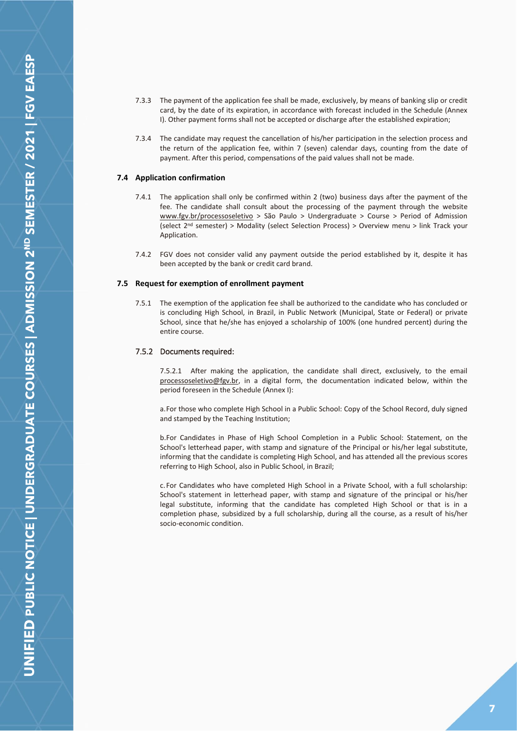- 7.3.3 The payment of the application fee shall be made, exclusively, by means of banking slip or credit card, by the date of its expiration, in accordance with forecast included in the Schedule (Annex I). Other payment forms shall not be accepted or discharge after the established expiration;
- 7.3.4 The candidate may request the cancellation of his/her participation in the selection process and the return of the application fee, within 7 (seven) calendar days, counting from the date of payment. After this period, compensations of the paid values shall not be made.

#### <span id="page-6-0"></span>**7.4 Application confirmation**

- 7.4.1 The application shall only be confirmed within 2 (two) business days after the payment of the fee. The candidate shall consult about the processing of the payment through the website www.fgv.br/processoseletivo > São Paulo > Undergraduate > Course > Period of Admission (select 2nd semester) > Modality (select Selection Process) > Overview menu > link Track your Application.
- 7.4.2 FGV does not consider valid any payment outside the period established by it, despite it has been accepted by the bank or credit card brand.

#### <span id="page-6-1"></span>**7.5 Request for exemption of enrollment payment**

7.5.1 The exemption of the application fee shall be authorized to the candidate who has concluded or is concluding High School, in Brazil, in Public Network (Municipal, State or Federal) or private School, since that he/she has enjoyed a scholarship of 100% (one hundred percent) during the entire course.

## <span id="page-6-2"></span>7.5.2 Documents required:

7.5.2.1 After making the application, the candidate shall direct, exclusively, to the email processoseletivo@fgv.br, in a digital form, the documentation indicated below, within the period foreseen in the Schedule (Annex I):

a.For those who complete High School in a Public School: Copy of the School Record, duly signed and stamped by the Teaching Institution;

b.For Candidates in Phase of High School Completion in a Public School: Statement, on the School's letterhead paper, with stamp and signature of the Principal or his/her legal substitute, informing that the candidate is completing High School, and has attended all the previous scores referring to High School, also in Public School, in Brazil;

c.For Candidates who have completed High School in a Private School, with a full scholarship: School's statement in letterhead paper, with stamp and signature of the principal or his/her legal substitute, informing that the candidate has completed High School or that is in a completion phase, subsidized by a full scholarship, during all the course, as a result of his/her socio-economic condition.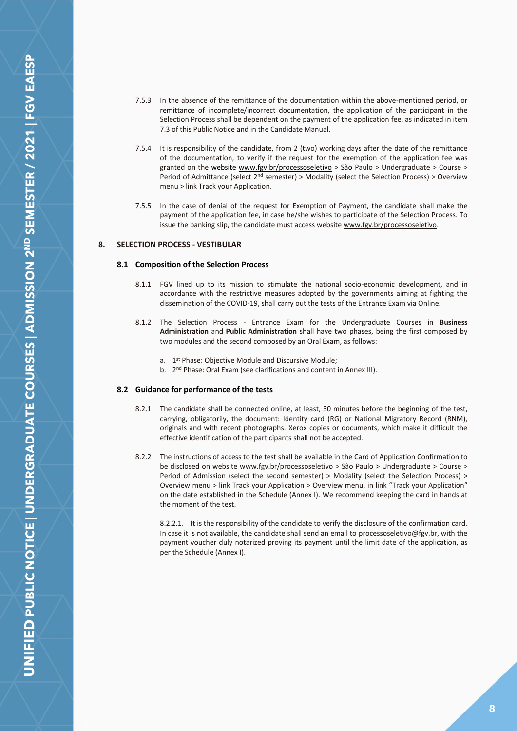- 7.5.3 In the absence of the remittance of the documentation within the above-mentioned period, or remittance of incomplete/incorrect documentation, the application of the participant in the Selection Process shall be dependent on the payment of the application fee, as indicated in item 7.3 of this Public Notice and in the Candidate Manual.
- 7.5.4 It is responsibility of the candidate, from 2 (two) working days after the date of the remittance of the documentation, to verify if the request for the exemption of the application fee was granted on the website [www.fgv.br/processoseletivo](http://www.fgv.br/processoseletivo) > São Paulo > Undergraduate > Course > Period of Admittance (select 2<sup>nd</sup> semester) > Modality (select the Selection Process) > Overview menu > link Track your Application.
- 7.5.5 In the case of denial of the request for Exemption of Payment, the candidate shall make the payment of the application fee, in case he/she wishes to participate of the Selection Process. To issue the banking slip, the candidate must access website www.fgv.br/processoseletivo.

## <span id="page-7-1"></span><span id="page-7-0"></span>**8. SELECTION PROCESS - VESTIBULAR**

#### **8.1 Composition of the Selection Process**

- 8.1.1 FGV lined up to its mission to stimulate the national socio-economic development, and in accordance with the restrictive measures adopted by the governments aiming at fighting the dissemination of the COVID-19, shall carry out the tests of the Entrance Exam via Online.
- 8.1.2 The Selection Process Entrance Exam for the Undergraduate Courses in **Business Administration** and **Public Administration** shall have two phases, being the first composed by two modules and the second composed by an Oral Exam, as follows:
	- a. 1<sup>st</sup> Phase: Objective Module and Discursive Module;
	- b. 2<sup>nd</sup> Phase: Oral Exam (see clarifications and content in Annex III).

#### <span id="page-7-2"></span>**8.2 Guidance for performance of the tests**

- 8.2.1 The candidate shall be connected online, at least, 30 minutes before the beginning of the test, carrying, obligatorily, the document: Identity card (RG) or National Migratory Record (RNM), originals and with recent photographs. Xerox copies or documents, which make it difficult the effective identification of the participants shall not be accepted.
- 8.2.2 The instructions of access to the test shall be available in the Card of Application Confirmation to be disclosed on website www.fgv.br/processoseletivo > São Paulo > Undergraduate > Course > Period of Admission (select the second semester) > Modality (select the Selection Process) > Overview menu > link Track your Application > Overview menu, in link "Track your Application" on the date established in the Schedule (Annex I). We recommend keeping the card in hands at the moment of the test.

8.2.2.1. It is the responsibility of the candidate to verify the disclosure of the confirmation card. In case it is not available, the candidate shall send an email to processoseletivo@fgv.br, with the payment voucher duly notarized proving its payment until the limit date of the application, as per the Schedule (Annex I).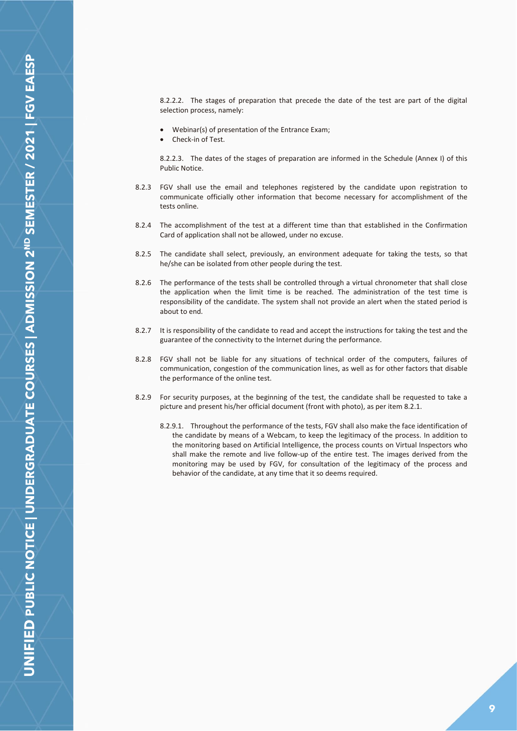8.2.2.2. The stages of preparation that precede the date of the test are part of the digital selection process, namely:

- Webinar(s) of presentation of the Entrance Exam;
- Check-in of Test.

8.2.2.3. The dates of the stages of preparation are informed in the Schedule (Annex I) of this Public Notice.

- 8.2.3 FGV shall use the email and telephones registered by the candidate upon registration to communicate officially other information that become necessary for accomplishment of the tests online.
- 8.2.4 The accomplishment of the test at a different time than that established in the Confirmation Card of application shall not be allowed, under no excuse.
- 8.2.5 The candidate shall select, previously, an environment adequate for taking the tests, so that he/she can be isolated from other people during the test.
- 8.2.6 The performance of the tests shall be controlled through a virtual chronometer that shall close the application when the limit time is be reached. The administration of the test time is responsibility of the candidate. The system shall not provide an alert when the stated period is about to end.
- 8.2.7 It is responsibility of the candidate to read and accept the instructions for taking the test and the guarantee of the connectivity to the Internet during the performance.
- 8.2.8 FGV shall not be liable for any situations of technical order of the computers, failures of communication, congestion of the communication lines, as well as for other factors that disable the performance of the online test.
- 8.2.9 For security purposes, at the beginning of the test, the candidate shall be requested to take a picture and present his/her official document (front with photo), as per item 8.2.1.
	- 8.2.9.1. Throughout the performance of the tests, FGV shall also make the face identification of the candidate by means of a Webcam, to keep the legitimacy of the process. In addition to the monitoring based on Artificial Intelligence, the process counts on Virtual Inspectors who shall make the remote and live follow-up of the entire test. The images derived from the monitoring may be used by FGV, for consultation of the legitimacy of the process and behavior of the candidate, at any time that it so deems required.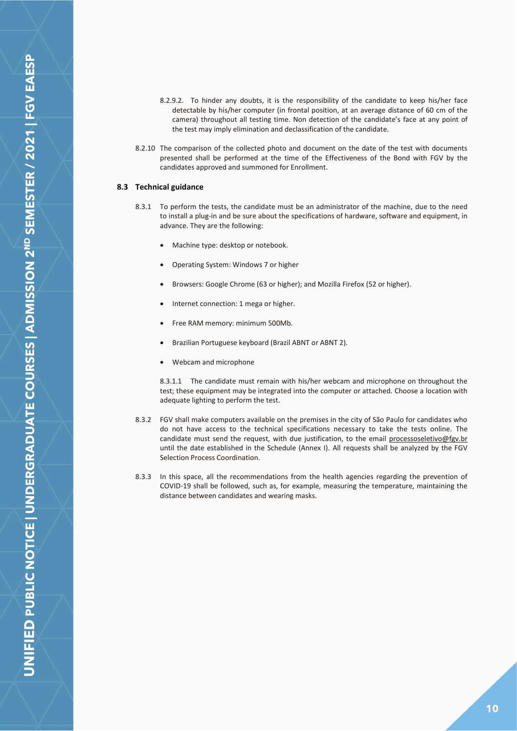- 8.2.9.2. To hinder any doubts, it is the responsibility of the candidate to keep his/her face detectable by his/her computer (in frontal position, at an average distance of 60 cm of the camera) throughout all testing time. Non detection of the candidate's face at any point of the test may imply elimination and declassification of the candidate.
- 8.2.10 The comparison of the collected photo and document on the date of the test with documents presented shall be performed at the time of the Effectiveness of the Bond with FGV by the candidates approved and summoned for Enrollment.

## <span id="page-9-0"></span>**8.3 Technical guidance**

- 8.3.1 To perform the tests, the candidate must be an administrator of the machine, due to the need to install a plug-in and be sure about the specifications of hardware, software and equipment, in advance. They are the following:
	- Machine type: desktop or notebook.
	- Operating System: Windows 7 or higher
	- Browsers: Google Chrome (63 or higher); and Mozilla Firefox (52 or higher).
	- Internet connection: 1 mega or higher.
	- Free RAM memory: minimum 500Mb.
	- Brazilian Portuguese keyboard (Brazil ABNT or ABNT 2).
	- Webcam and microphone

8.3.1.1 The candidate must remain with his/her webcam and microphone on throughout the test; these equipment may be integrated into the computer or attached. Choose a location with adequate lighting to perform the test.

- 8.3.2 FGV shall make computers available on the premises in the city of São Paulo for candidates who do not have access to the technical specifications necessary to take the tests online. The candidate must send the request, with due justification, to the email processoseletivo@fgv.br until the date established in the Schedule (Annex I). All requests shall be analyzed by the FGV Selection Process Coordination.
- 8.3.3 In this space, all the recommendations from the health agencies regarding the prevention of COVID-19 shall be followed, such as, for example, measuring the temperature, maintaining the distance between candidates and wearing masks.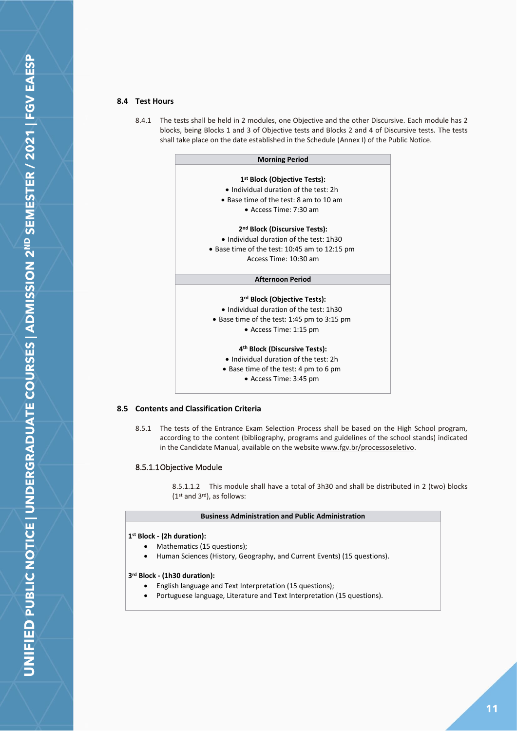## <span id="page-10-0"></span>**8.4 Test Hours**

8.4.1 The tests shall be held in 2 modules, one Objective and the other Discursive. Each module has 2 blocks, being Blocks 1 and 3 of Objective tests and Blocks 2 and 4 of Discursive tests. The tests shall take place on the date established in the Schedule (Annex I) of the Public Notice.

| <b>Morning Period</b>                         |
|-----------------------------------------------|
|                                               |
| 1 <sup>st</sup> Block (Objective Tests):      |
| • Individual duration of the test: 2h         |
| • Base time of the test: 8 am to 10 am        |
| $\bullet$ Access Time: 7:30 am                |
| 2 <sup>nd</sup> Block (Discursive Tests):     |
| • Individual duration of the test: 1h30       |
| • Base time of the test: 10:45 am to 12:15 pm |
| Access Time: 10:30 am                         |
| <b>Afternoon Period</b>                       |
| 3rd Block (Objective Tests):                  |
| • Individual duration of the test: 1h30       |
| • Base time of the test: 1:45 pm to 3:15 pm   |
| $\bullet$ Access Time: 1:15 pm                |
| 4 <sup>th</sup> Block (Discursive Tests):     |
| • Individual duration of the test: 2h         |
| $\bullet$ Rase time of the test: 1 nm to 6 nm |

unie of the te • Access Time: 3:45 pm

#### <span id="page-10-1"></span>**8.5 Contents and Classification Criteria**

8.5.1 The tests of the Entrance Exam Selection Process shall be based on the High School program, according to the content (bibliography, programs and guidelines of the school stands) indicated in the Candidate Manual, available on the website www.fgv.br/processoseletivo.

## <span id="page-10-2"></span>8.5.1.1 Objective Module

8.5.1.1.2 This module shall have a total of 3h30 and shall be distributed in 2 (two) blocks (1st and 3rd), as follows:

#### **Business Administration and Public Administration**

#### **1 st Block - (2h duration):**

- Mathematics (15 questions);
- Human Sciences (History, Geography, and Current Events) (15 questions).

#### **3 rd Block - (1h30 duration):**

- English language and Text Interpretation (15 questions);
- Portuguese language, Literature and Text Interpretation (15 questions).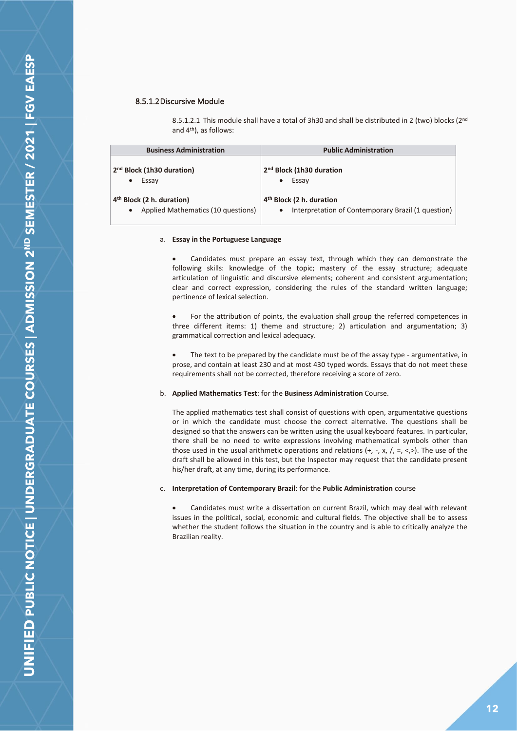## <span id="page-11-0"></span>8.5.1.2 Discursive Module

8.5.1.2.1 This module shall have a total of 3h30 and shall be distributed in 2 (two) blocks (2<sup>nd</sup> and 4th), as follows:

| <b>Business Administration</b>                                                           | <b>Public Administration</b>                                                               |
|------------------------------------------------------------------------------------------|--------------------------------------------------------------------------------------------|
| 2 <sup>nd</sup> Block (1h30 duration)<br>Essay<br>$\bullet$                              | 2 <sup>nd</sup> Block (1h30 duration<br>Essay                                              |
| 4 <sup>th</sup> Block (2 h. duration)<br>Applied Mathematics (10 questions)<br>$\bullet$ | 4 <sup>th</sup> Block (2 h. duration<br>Interpretation of Contemporary Brazil (1 question) |

#### a. **Essay in the Portuguese Language**

• Candidates must prepare an essay text, through which they can demonstrate the following skills: knowledge of the topic; mastery of the essay structure; adequate articulation of linguistic and discursive elements; coherent and consistent argumentation; clear and correct expression, considering the rules of the standard written language; pertinence of lexical selection.

• For the attribution of points, the evaluation shall group the referred competences in three different items: 1) theme and structure; 2) articulation and argumentation; 3) grammatical correction and lexical adequacy.

The text to be prepared by the candidate must be of the assay type - argumentative, in prose, and contain at least 230 and at most 430 typed words. Essays that do not meet these requirements shall not be corrected, therefore receiving a score of zero.

## b. **Applied Mathematics Test**: for the **Business Administration** Course.

The applied mathematics test shall consist of questions with open, argumentative questions or in which the candidate must choose the correct alternative. The questions shall be designed so that the answers can be written using the usual keyboard features. In particular, there shall be no need to write expressions involving mathematical symbols other than those used in the usual arithmetic operations and relations  $(+, -, x, /, =, <, >)$ . The use of the draft shall be allowed in this test, but the Inspector may request that the candidate present his/her draft, at any time, during its performance.

#### c. **Interpretation of Contemporary Brazil**: for the **Public Administration** course

• Candidates must write a dissertation on current Brazil, which may deal with relevant issues in the political, social, economic and cultural fields. The objective shall be to assess whether the student follows the situation in the country and is able to critically analyze the Brazilian reality.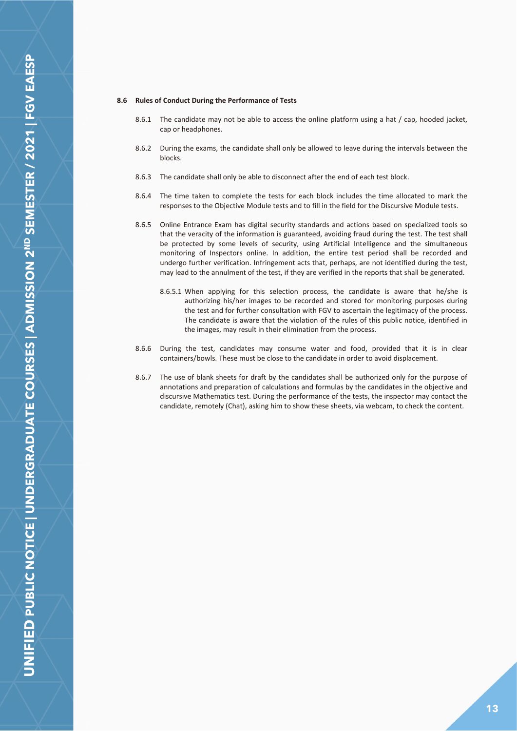#### **8.6 Rules of Conduct During the Performance of Tests**

- 8.6.1 The candidate may not be able to access the online platform using a hat / cap, hooded jacket, cap or headphones.
- 8.6.2 During the exams, the candidate shall only be allowed to leave during the intervals between the blocks.
- 8.6.3 The candidate shall only be able to disconnect after the end of each test block.
- 8.6.4 The time taken to complete the tests for each block includes the time allocated to mark the responses to the Objective Module tests and to fill in the field for the Discursive Module tests.
- 8.6.5 Online Entrance Exam has digital security standards and actions based on specialized tools so that the veracity of the information is guaranteed, avoiding fraud during the test. The test shall be protected by some levels of security, using Artificial Intelligence and the simultaneous monitoring of Inspectors online. In addition, the entire test period shall be recorded and undergo further verification. Infringement acts that, perhaps, are not identified during the test, may lead to the annulment of the test, if they are verified in the reports that shall be generated.
	- 8.6.5.1 When applying for this selection process, the candidate is aware that he/she is authorizing his/her images to be recorded and stored for monitoring purposes during the test and for further consultation with FGV to ascertain the legitimacy of the process. The candidate is aware that the violation of the rules of this public notice, identified in the images, may result in their elimination from the process.
- 8.6.6 During the test, candidates may consume water and food, provided that it is in clear containers/bowls. These must be close to the candidate in order to avoid displacement.
- 8.6.7 The use of blank sheets for draft by the candidates shall be authorized only for the purpose of annotations and preparation of calculations and formulas by the candidates in the objective and discursive Mathematics test. During the performance of the tests, the inspector may contact the candidate, remotely (Chat), asking him to show these sheets, via webcam, to check the content.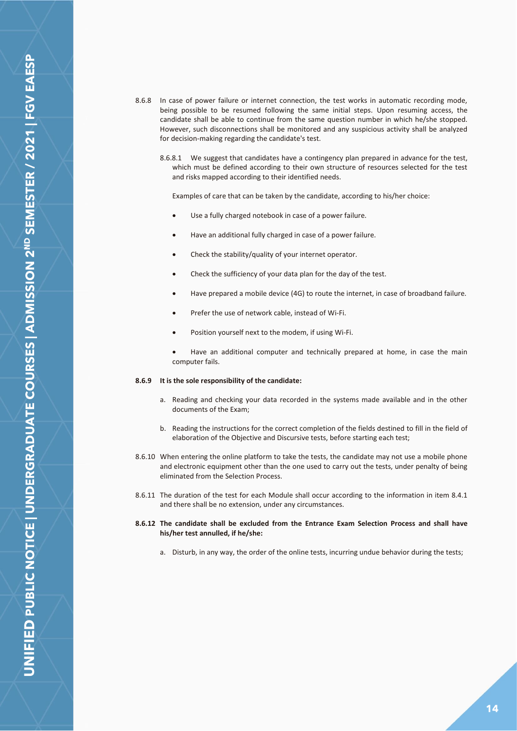- 8.6.8 In case of power failure or internet connection, the test works in automatic recording mode, being possible to be resumed following the same initial steps. Upon resuming access, the candidate shall be able to continue from the same question number in which he/she stopped. However, such disconnections shall be monitored and any suspicious activity shall be analyzed for decision-making regarding the candidate's test.
	- 8.6.8.1 We suggest that candidates have a contingency plan prepared in advance for the test, which must be defined according to their own structure of resources selected for the test and risks mapped according to their identified needs.

Examples of care that can be taken by the candidate, according to his/her choice:

- Use a fully charged notebook in case of a power failure.
- Have an additional fully charged in case of a power failure.
- Check the stability/quality of your internet operator.
- Check the sufficiency of your data plan for the day of the test.
- Have prepared a mobile device (4G) to route the internet, in case of broadband failure.
- Prefer the use of network cable, instead of Wi-Fi.
- Position yourself next to the modem, if using Wi-Fi.

• Have an additional computer and technically prepared at home, in case the main computer fails.

#### **8.6.9 It is the sole responsibility of the candidate:**

- a. Reading and checking your data recorded in the systems made available and in the other documents of the Exam;
- b. Reading the instructions for the correct completion of the fields destined to fill in the field of elaboration of the Objective and Discursive tests, before starting each test;
- 8.6.10 When entering the online platform to take the tests, the candidate may not use a mobile phone and electronic equipment other than the one used to carry out the tests, under penalty of being eliminated from the Selection Process.
- 8.6.11 The duration of the test for each Module shall occur according to the information in item 8.4.1 and there shall be no extension, under any circumstances.
- **8.6.12 The candidate shall be excluded from the Entrance Exam Selection Process and shall have his/her test annulled, if he/she:**
	- a. Disturb, in any way, the order of the online tests, incurring undue behavior during the tests;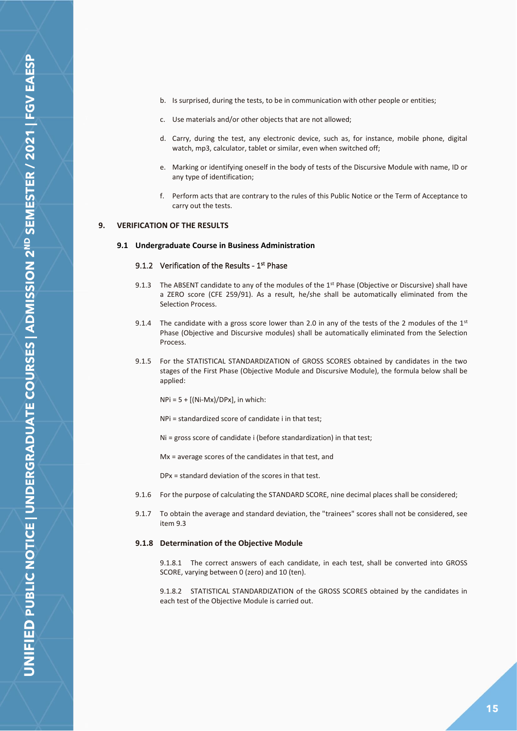- b. Is surprised, during the tests, to be in communication with other people or entities;
- c. Use materials and/or other objects that are not allowed;
- d. Carry, during the test, any electronic device, such as, for instance, mobile phone, digital watch, mp3, calculator, tablet or similar, even when switched off;
- e. Marking or identifying oneself in the body of tests of the Discursive Module with name, ID or any type of identification;
- f. Perform acts that are contrary to the rules of this Public Notice or the Term of Acceptance to carry out the tests.

## <span id="page-14-1"></span><span id="page-14-0"></span>**9. VERIFICATION OF THE RESULTS**

## <span id="page-14-2"></span>**9.1 Undergraduate Course in Business Administration**

## 9.1.2 Verification of the Results -  $1<sup>st</sup>$  Phase

- 9.1.3 The ABSENT candidate to any of the modules of the 1<sup>st</sup> Phase (Objective or Discursive) shall have a ZERO score (CFE 259/91). As a result, he/she shall be automatically eliminated from the Selection Process.
- 9.1.4 The candidate with a gross score lower than 2.0 in any of the tests of the 2 modules of the  $1^{st}$ Phase (Objective and Discursive modules) shall be automatically eliminated from the Selection Process.
- 9.1.5 For the STATISTICAL STANDARDIZATION of GROSS SCORES obtained by candidates in the two stages of the First Phase (Objective Module and Discursive Module), the formula below shall be applied:
	- $NPi = 5 + [(Ni-Mx)/DPx]$ , in which:
	- NPi = standardized score of candidate i in that test;
	- Ni = gross score of candidate i (before standardization) in that test;
	- Mx = average scores of the candidates in that test, and

DPx = standard deviation of the scores in that test.

- 9.1.6 For the purpose of calculating the STANDARD SCORE, nine decimal places shall be considered;
- 9.1.7 To obtain the average and standard deviation, the "trainees" scores shall not be considered, see item 9.3

#### **9.1.8 Determination of the Objective Module**

9.1.8.1 The correct answers of each candidate, in each test, shall be converted into GROSS SCORE, varying between 0 (zero) and 10 (ten).

9.1.8.2 STATISTICAL STANDARDIZATION of the GROSS SCORES obtained by the candidates in each test of the Objective Module is carried out.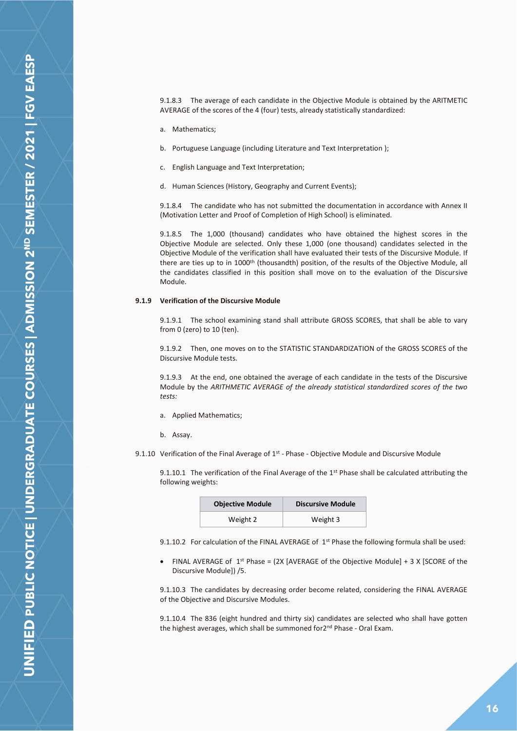9.1.8.3 The average of each candidate in the Objective Module is obtained by the ARITMETIC AVERAGE of the scores of the 4 (four) tests, already statistically standardized:

- a. Mathematics;
- b. Portuguese Language (including Literature and Text Interpretation );
- c. English Language and Text Interpretation;
- d. Human Sciences (History, Geography and Current Events);

9.1.8.4 The candidate who has not submitted the documentation in accordance with Annex II (Motivation Letter and Proof of Completion of High School) is eliminated.

9.1.8.5 The 1,000 (thousand) candidates who have obtained the highest scores in the Objective Module are selected. Only these 1,000 (one thousand) candidates selected in the Objective Module of the verification shall have evaluated their tests of the Discursive Module. If there are ties up to in 1000<sup>th</sup> (thousandth) position, of the results of the Objective Module, all the candidates classified in this position shall move on to the evaluation of the Discursive Module.

## **9.1.9 Verification of the Discursive Module**

9.1.9.1 The school examining stand shall attribute GROSS SCORES, that shall be able to vary from 0 (zero) to 10 (ten).

9.1.9.2 Then, one moves on to the STATISTIC STANDARDIZATION of the GROSS SCORES of the Discursive Module tests.

9.1.9.3 At the end, one obtained the average of each candidate in the tests of the Discursive Module by the *ARITHMETIC AVERAGE of the already statistical standardized scores of the two tests:*

- a. Applied Mathematics;
- b. Assay.

9.1.10 Verification of the Final Average of  $1<sup>st</sup>$  - Phase - Objective Module and Discursive Module

9.1.10.1 The verification of the Final Average of the  $1<sup>st</sup>$  Phase shall be calculated attributing the following weights:

| <b>Objective Module</b> | <b>Discursive Module</b> |
|-------------------------|--------------------------|
| Weight 2                | Weight 3                 |

9.1.10.2 For calculation of the FINAL AVERAGE of 1<sup>st</sup> Phase the following formula shall be used:

• FINAL AVERAGE of 1<sup>st</sup> Phase = (2X [AVERAGE of the Objective Module] + 3 X [SCORE of the Discursive Module]) /5.

9.1.10.3 The candidates by decreasing order become related, considering the FINAL AVERAGE of the Objective and Discursive Modules.

9.1.10.4 The 836 (eight hundred and thirty six) candidates are selected who shall have gotten the highest averages, which shall be summoned for2nd Phase - Oral Exam.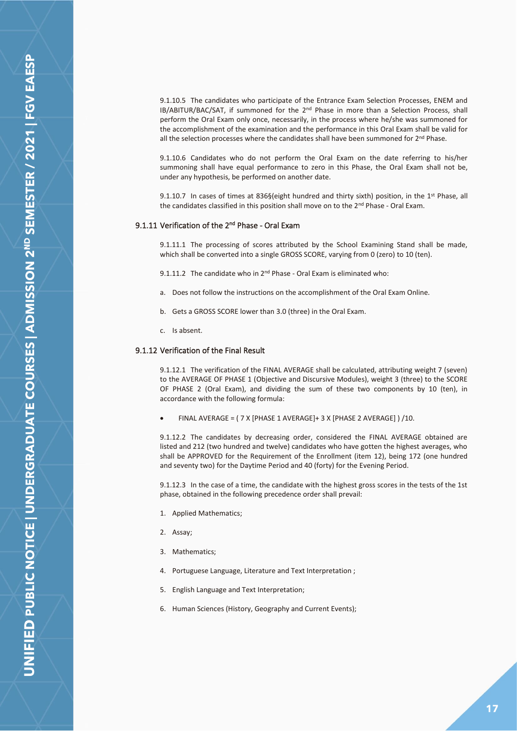9.1.10.6 Candidates who do not perform the Oral Exam on the date referring to his/her summoning shall have equal performance to zero in this Phase, the Oral Exam shall not be, under any hypothesis, be performed on another date.

9.1.10.7 In cases of times at 836§(eight hundred and thirty sixth) position, in the 1<sup>st</sup> Phase, all the candidates classified in this position shall move on to the 2<sup>nd</sup> Phase - Oral Exam.

## <span id="page-16-0"></span>9.1.11 Verification of the 2<sup>nd</sup> Phase - Oral Exam

9.1.11.1 The processing of scores attributed by the School Examining Stand shall be made, which shall be converted into a single GROSS SCORE, varying from 0 (zero) to 10 (ten).

9.1.11.2 The candidate who in 2nd Phase - Oral Exam is eliminated who:

- a. Does not follow the instructions on the accomplishment of the Oral Exam Online.
- b. Gets a GROSS SCORE lower than 3.0 (three) in the Oral Exam.
- c. Is absent.

#### <span id="page-16-1"></span>9.1.12 Verification of the Final Result

9.1.12.1 The verification of the FINAL AVERAGE shall be calculated, attributing weight 7 (seven) to the AVERAGE OF PHASE 1 (Objective and Discursive Modules), weight 3 (three) to the SCORE OF PHASE 2 (Oral Exam), and dividing the sum of these two components by 10 (ten), in accordance with the following formula:

• FINAL AVERAGE = ( 7 X [PHASE 1 AVERAGE]+ 3 X [PHASE 2 AVERAGE] ) /10.

9.1.12.2 The candidates by decreasing order, considered the FINAL AVERAGE obtained are listed and 212 (two hundred and twelve) candidates who have gotten the highest averages, who shall be APPROVED for the Requirement of the Enrollment (item 12), being 172 (one hundred and seventy two) for the Daytime Period and 40 (forty) for the Evening Period.

9.1.12.3 In the case of a time, the candidate with the highest gross scores in the tests of the 1st phase, obtained in the following precedence order shall prevail:

- 1. Applied Mathematics;
- 2. Assay;
- 3. Mathematics;
- 4. Portuguese Language, Literature and Text Interpretation ;
- 5. English Language and Text Interpretation;
- 6. Human Sciences (History, Geography and Current Events);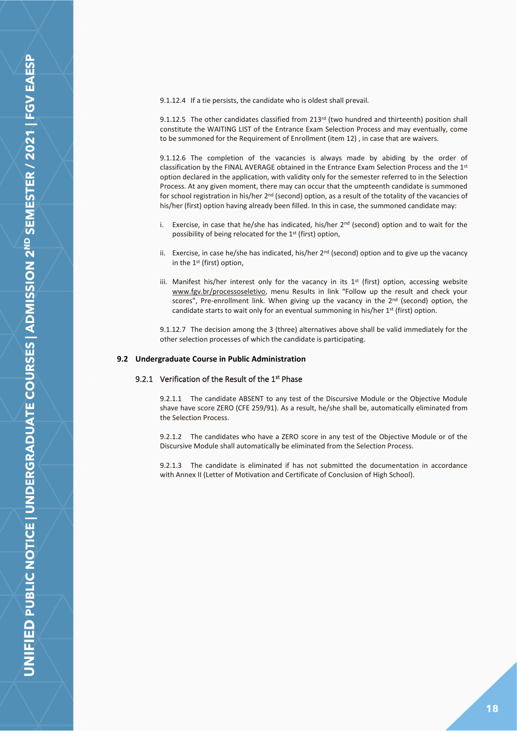9.1.12.4 If a tie persists, the candidate who is oldest shall prevail.

9.1.12.5 The other candidates classified from 213<sup>rd</sup> (two hundred and thirteenth) position shall constitute the WAITING LIST of the Entrance Exam Selection Process and may eventually, come to be summoned for the Requirement of Enrollment (item 12) , in case that are waivers.

9.1.12.6 The completion of the vacancies is always made by abiding by the order of classification by the FINAL AVERAGE obtained in the Entrance Exam Selection Process and the 1st option declared in the application, with validity only for the semester referred to in the Selection Process. At any given moment, there may can occur that the umpteenth candidate is summoned for school registration in his/her 2<sup>nd</sup> (second) option, as a result of the totality of the vacancies of his/her (first) option having already been filled. In this in case, the summoned candidate may:

- i. Exercise, in case that he/she has indicated, his/her 2<sup>nd</sup> (second) option and to wait for the possibility of being relocated for the 1st (first) option,
- ii. Exercise, in case he/she has indicated, his/her  $2<sup>nd</sup>$  (second) option and to give up the vacancy in the 1st (first) option,
- iii. Manifest his/her interest only for the vacancy in its  $1<sup>st</sup>$  (first) option, accessing website www.fgv.br/processoseletivo, menu Results in link "Follow up the result and check your scores", Pre-enrollment link. When giving up the vacancy in the  $2<sup>nd</sup>$  (second) option, the candidate starts to wait only for an eventual summoning in his/her  $1<sup>st</sup>$  (first) option.

9.1.12.7 The decision among the 3 (three) alternatives above shall be valid immediately for the other selection processes of which the candidate is participating.

## <span id="page-17-1"></span><span id="page-17-0"></span>**9.2 Undergraduate Course in Public Administration**

## 9.2.1 Verification of the Result of the 1<sup>st</sup> Phase

9.2.1.1 The candidate ABSENT to any test of the Discursive Module or the Objective Module shave have score ZERO (CFE 259/91). As a result, he/she shall be, automatically eliminated from the Selection Process.

9.2.1.2 The candidates who have a ZERO score in any test of the Objective Module or of the Discursive Module shall automatically be eliminated from the Selection Process.

9.2.1.3 The candidate is eliminated if has not submitted the documentation in accordance with Annex II (Letter of Motivation and Certificate of Conclusion of High School).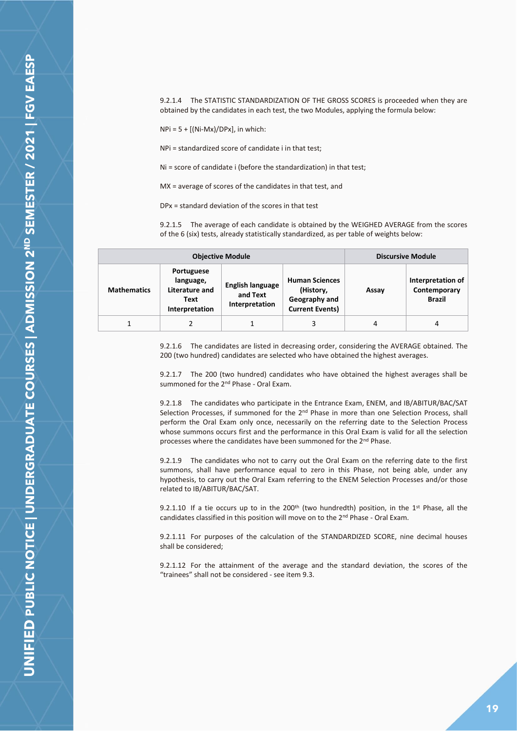9.2.1.4 The STATISTIC STANDARDIZATION OF THE GROSS SCORES is proceeded when they are obtained by the candidates in each test, the two Modules, applying the formula below:

 $NPi = 5 + [(Ni-Mx)/DPx]$ , in which:

NPi = standardized score of candidate i in that test;

Ni = score of candidate i (before the standardization) in that test;

MX = average of scores of the candidates in that test, and

DPx = standard deviation of the scores in that test

9.2.1.5 The average of each candidate is obtained by the WEIGHED AVERAGE from the scores of the 6 (six) tests, already statistically standardized, as per table of weights below:

|                    | <b>Objective Module</b>                                             |                                                       | <b>Discursive Module</b>                                                      |       |                                                    |
|--------------------|---------------------------------------------------------------------|-------------------------------------------------------|-------------------------------------------------------------------------------|-------|----------------------------------------------------|
| <b>Mathematics</b> | Portuguese<br>language,<br>Literature and<br>Text<br>Interpretation | <b>English language</b><br>and Text<br>Interpretation | <b>Human Sciences</b><br>(History,<br>Geography and<br><b>Current Events)</b> | Assay | Interpretation of<br>Contemporary<br><b>Brazil</b> |
|                    |                                                                     |                                                       | 3                                                                             | 4     | 4                                                  |

9.2.1.6 The candidates are listed in decreasing order, considering the AVERAGE obtained. The 200 (two hundred) candidates are selected who have obtained the highest averages.

9.2.1.7 The 200 (two hundred) candidates who have obtained the highest averages shall be summoned for the 2<sup>nd</sup> Phase - Oral Exam.

9.2.1.8 The candidates who participate in the Entrance Exam, ENEM, and IB/ABITUR/BAC/SAT Selection Processes, if summoned for the 2<sup>nd</sup> Phase in more than one Selection Process, shall perform the Oral Exam only once, necessarily on the referring date to the Selection Process whose summons occurs first and the performance in this Oral Exam is valid for all the selection processes where the candidates have been summoned for the 2nd Phase.

9.2.1.9 The candidates who not to carry out the Oral Exam on the referring date to the first summons, shall have performance equal to zero in this Phase, not being able, under any hypothesis, to carry out the Oral Exam referring to the ENEM Selection Processes and/or those related to IB/ABITUR/BAC/SAT.

9.2.1.10 If a tie occurs up to in the 200<sup>th</sup> (two hundredth) position, in the 1<sup>st</sup> Phase, all the candidates classified in this position will move on to the 2nd Phase - Oral Exam.

9.2.1.11 For purposes of the calculation of the STANDARDIZED SCORE, nine decimal houses shall be considered;

9.2.1.12 For the attainment of the average and the standard deviation, the scores of the "trainees" shall not be considered - see item 9.3.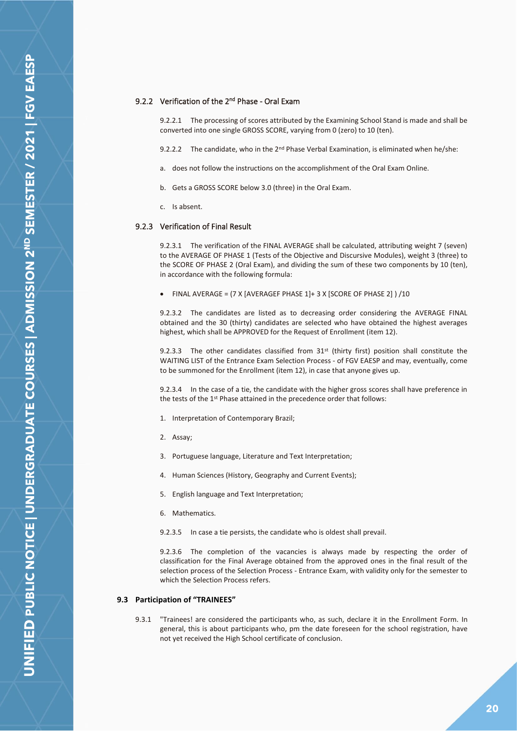## <span id="page-19-0"></span>9.2.2 Verification of the 2<sup>nd</sup> Phase - Oral Exam

9.2.2.1 The processing of scores attributed by the Examining School Stand is made and shall be converted into one single GROSS SCORE, varying from 0 (zero) to 10 (ten).

- 9.2.2.2 The candidate, who in the  $2^{nd}$  Phase Verbal Examination, is eliminated when he/she:
- a. does not follow the instructions on the accomplishment of the Oral Exam Online.
- b. Gets a GROSS SCORE below 3.0 (three) in the Oral Exam.
- c. Is absent.

#### <span id="page-19-1"></span>9.2.3 Verification of Final Result

9.2.3.1 The verification of the FINAL AVERAGE shall be calculated, attributing weight 7 (seven) to the AVERAGE OF PHASE 1 (Tests of the Objective and Discursive Modules), weight 3 (three) to the SCORE OF PHASE 2 (Oral Exam), and dividing the sum of these two components by 10 (ten), in accordance with the following formula:

• FINAL AVERAGE = (7 X [AVERAGEF PHASE 1]+ 3 X [SCORE OF PHASE 2] ) /10

9.2.3.2 The candidates are listed as to decreasing order considering the AVERAGE FINAL obtained and the 30 (thirty) candidates are selected who have obtained the highest averages highest, which shall be APPROVED for the Request of Enrollment (item 12).

9.2.3.3 The other candidates classified from  $31^{st}$  (thirty first) position shall constitute the WAITING LIST of the Entrance Exam Selection Process - of FGV EAESP and may, eventually, come to be summoned for the Enrollment (item 12), in case that anyone gives up.

9.2.3.4 In the case of a tie, the candidate with the higher gross scores shall have preference in the tests of the 1<sup>st</sup> Phase attained in the precedence order that follows:

- 1. Interpretation of Contemporary Brazil;
- 2. Assay;
- 3. Portuguese language, Literature and Text Interpretation;
- 4. Human Sciences (History, Geography and Current Events);
- 5. English language and Text Interpretation;
- 6. Mathematics.
- 9.2.3.5 In case a tie persists, the candidate who is oldest shall prevail.

9.2.3.6 The completion of the vacancies is always made by respecting the order of classification for the Final Average obtained from the approved ones in the final result of the selection process of the Selection Process - Entrance Exam, with validity only for the semester to which the Selection Process refers.

#### <span id="page-19-2"></span>**9.3 Participation of "TRAINEES"**

9.3.1 "Trainees! are considered the participants who, as such, declare it in the Enrollment Form. In general, this is about participants who, pm the date foreseen for the school registration, have not yet received the High School certificate of conclusion.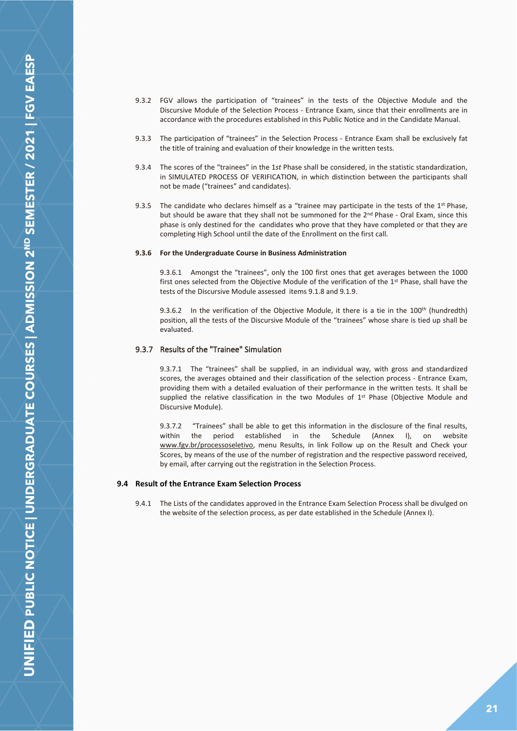- 9.3.2 FGV allows the participation of "trainees" in the tests of the Objective Module and the Discursive Module of the Selection Process - Entrance Exam, since that their enrollments are in accordance with the procedures established in this Public Notice and in the Candidate Manual.
- 9.3.3 The participation of "trainees" in the Selection Process Entrance Exam shall be exclusively fat the title of training and evaluation of their knowledge in the written tests.
- 9.3.4 The scores of the "trainees" in the 1*st* Phase shall be considered, in the statistic standardization, in SIMULATED PROCESS OF VERIFICATION, in which distinction between the participants shall not be made ("trainees" and candidates).
- 9.3.5 The candidate who declares himself as a "trainee may participate in the tests of the 1<sup>st</sup> Phase, but should be aware that they shall not be summoned for the 2<sup>nd</sup> Phase - Oral Exam, since this phase is only destined for the candidates who prove that they have completed or that they are completing High School until the date of the Enrollment on the first call.

## **9.3.6 For the Undergraduate Course in Business Administration**

9.3.6.1 Amongst the "trainees", only the 100 first ones that get averages between the 1000 first ones selected from the Objective Module of the verification of the 1<sup>st</sup> Phase, shall have the tests of the Discursive Module assessed items 9.1.8 and 9.1.9.

9.3.6.2 In the verification of the Objective Module, it there is a tie in the 100<sup>th</sup> (hundredth) position, all the tests of the Discursive Module of the "trainees" whose share is tied up shall be evaluated.

## <span id="page-20-0"></span>9.3.7 Results of the "Trainee" Simulation

9.3.7.1 The "trainees" shall be supplied, in an individual way, with gross and standardized scores, the averages obtained and their classification of the selection process - Entrance Exam, providing them with a detailed evaluation of their performance in the written tests. It shall be supplied the relative classification in the two Modules of  $1<sup>st</sup>$  Phase (Objective Module and Discursive Module).

9.3.7.2 "Trainees" shall be able to get this information in the disclosure of the final results, within the period established in the Schedule (Annex I), on website www.fgv.br/processoseletivo, menu Results, in link Follow up on the Result and Check your Scores, by means of the use of the number of registration and the respective password received, by email, after carrying out the registration in the Selection Process.

#### <span id="page-20-1"></span>**9.4 Result of the Entrance Exam Selection Process**

9.4.1 The Lists of the candidates approved in the Entrance Exam Selection Process shall be divulged on the website of the selection process, as per date established in the Schedule (Annex I).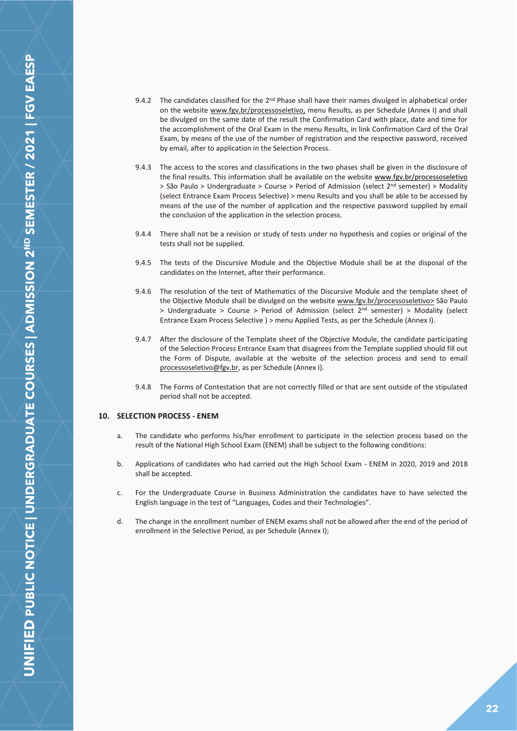**JNIFIED PUBLIC NOTICE | UNDERGRADUATE COURSES | ADMISSION 2<sup>ND</sup> SEMESTER / 2021 | FGV EAESP** 

- 9.4.2 The candidates classified for the  $2<sup>nd</sup>$  Phase shall have their names divulged in alphabetical order on the website www.fgv.br/processoseletivo, menu Results, as per Schedule (Annex I) and shall be divulged on the same date of the result the Confirmation Card with place, date and time for the accomplishment of the Oral Exam in the menu Results, in link Confirmation Card of the Oral Exam, by means of the use of the number of registration and the respective password, received by email, after to application in the Selection Process.
- 9.4.3 The access to the scores and classifications in the two phases shall be given in the disclosure of the final results. This information shall be available on the website www.fgv.br/processoseletivo  $>$  São Paulo > Undergraduate > Course > Period of Admission (select  $2^{nd}$  semester) > Modality (select Entrance Exam Process Selective) > menu Results and you shall be able to be accessed by means of the use of the number of application and the respective password supplied by email the conclusion of the application in the selection process.
- 9.4.4 There shall not be a revision or study of tests under no hypothesis and copies or original of the tests shall not be supplied.
- 9.4.5 The tests of the Discursive Module and the Objective Module shall be at the disposal of the candidates on the Internet, after their performance.
- 9.4.6 The resolution of the test of Mathematics of the Discursive Module and the template sheet of the Objective Module shall be divulged on the website www.fgv.br/processoseletivo> São Paulo > Undergraduate > Course > Period of Admission (select 2nd semester) > Modality (select Entrance Exam Process Selective ) > menu Applied Tests, as per the Schedule (Annex I).
- 9.4.7 After the disclosure of the Template sheet of the Objective Module, the candidate participating of the Selection Process Entrance Exam that disagrees from the Template supplied should fill out the Form of Dispute, available at the website of the selection process and send to email processoseletivo@fgv.br, as per Schedule (Annex I).
- 9.4.8 The Forms of Contestation that are not correctly filled or that are sent outside of the stipulated period shall not be accepted.

## <span id="page-21-0"></span>**10. SELECTION PROCESS - ENEM**

- a. The candidate who performs his/her enrollment to participate in the selection process based on the result of the National High School Exam (ENEM) shall be subject to the following conditions:
- b. Applications of candidates who had carried out the High School Exam ENEM in 2020, 2019 and 2018 shall be accepted.
- c. For the Undergraduate Course in Business Administration the candidates have to have selected the English language in the test of "Languages, Codes and their Technologies".
- d. The change in the enrollment number of ENEM exams shall not be allowed after the end of the period of enrollment in the Selective Period, as per Schedule (Annex I);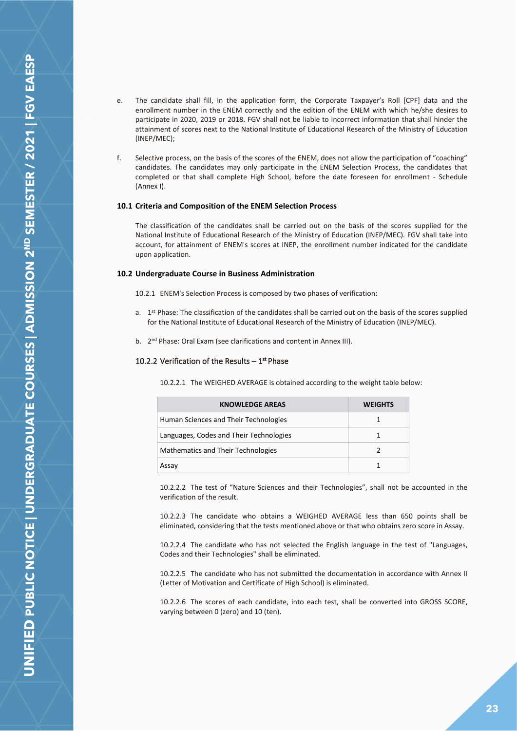- e. The candidate shall fill, in the application form, the Corporate Taxpayer's Roll [CPF] data and the enrollment number in the ENEM correctly and the edition of the ENEM with which he/she desires to participate in 2020, 2019 or 2018. FGV shall not be liable to incorrect information that shall hinder the attainment of scores next to the National Institute of Educational Research of the Ministry of Education (INEP/MEC);
- f. Selective process, on the basis of the scores of the ENEM, does not allow the participation of "coaching" candidates. The candidates may only participate in the ENEM Selection Process, the candidates that completed or that shall complete High School, before the date foreseen for enrollment - Schedule (Annex I).

#### <span id="page-22-0"></span>**10.1 Criteria and Composition of the ENEM Selection Process**

The classification of the candidates shall be carried out on the basis of the scores supplied for the National Institute of Educational Research of the Ministry of Education (INEP/MEC). FGV shall take into account, for attainment of ENEM's scores at INEP, the enrollment number indicated for the candidate upon application.

#### <span id="page-22-1"></span>**10.2 Undergraduate Course in Business Administration**

10.2.1 ENEM's Selection Process is composed by two phases of verification:

- a. 1<sup>st</sup> Phase: The classification of the candidates shall be carried out on the basis of the scores supplied for the National Institute of Educational Research of the Ministry of Education (INEP/MEC).
- b. 2<sup>nd</sup> Phase: Oral Exam (see clarifications and content in Annex III).

## <span id="page-22-2"></span>10.2.2 Verification of the Results  $-1^{st}$  Phase

10.2.2.1 The WEIGHED AVERAGE is obtained according to the weight table below:

| <b>KNOWLEDGE AREAS</b>                  | <b>WEIGHTS</b> |
|-----------------------------------------|----------------|
| Human Sciences and Their Technologies   | 1              |
| Languages, Codes and Their Technologies | 1              |
| Mathematics and Their Technologies      |                |
| Assay                                   |                |

10.2.2.2 The test of "Nature Sciences and their Technologies", shall not be accounted in the verification of the result.

10.2.2.3 The candidate who obtains a WEIGHED AVERAGE less than 650 points shall be eliminated, considering that the tests mentioned above or that who obtains zero score in Assay.

10.2.2.4 The candidate who has not selected the English language in the test of "Languages, Codes and their Technologies" shall be eliminated.

10.2.2.5 The candidate who has not submitted the documentation in accordance with Annex II (Letter of Motivation and Certificate of High School) is eliminated.

10.2.2.6 The scores of each candidate, into each test, shall be converted into GROSS SCORE, varying between 0 (zero) and 10 (ten).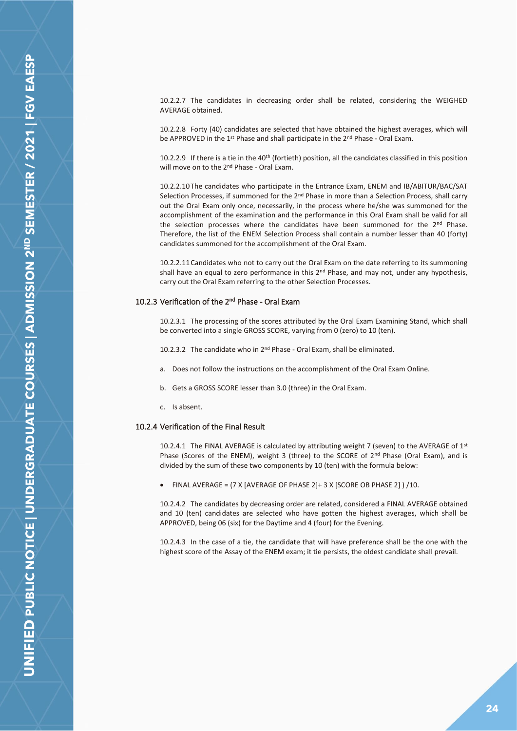10.2.2.7 The candidates in decreasing order shall be related, considering the WEIGHED AVERAGE obtained.

10.2.2.8 Forty (40) candidates are selected that have obtained the highest averages, which will be APPROVED in the 1<sup>st</sup> Phase and shall participate in the 2<sup>nd</sup> Phase - Oral Exam.

10.2.2.9 If there is a tie in the 40<sup>th</sup> (fortieth) position, all the candidates classified in this position will move on to the 2<sup>nd</sup> Phase - Oral Exam.

10.2.2.10The candidates who participate in the Entrance Exam, ENEM and IB/ABITUR/BAC/SAT Selection Processes, if summoned for the 2<sup>nd</sup> Phase in more than a Selection Process, shall carry out the Oral Exam only once, necessarily, in the process where he/she was summoned for the accomplishment of the examination and the performance in this Oral Exam shall be valid for all the selection processes where the candidates have been summoned for the 2<sup>nd</sup> Phase. Therefore, the list of the ENEM Selection Process shall contain a number lesser than 40 (forty) candidates summoned for the accomplishment of the Oral Exam.

10.2.2.11Candidates who not to carry out the Oral Exam on the date referring to its summoning shall have an equal to zero performance in this  $2<sup>nd</sup>$  Phase, and may not, under any hypothesis, carry out the Oral Exam referring to the other Selection Processes.

## <span id="page-23-0"></span>10.2.3 Verification of the 2<sup>nd</sup> Phase - Oral Exam

10.2.3.1 The processing of the scores attributed by the Oral Exam Examining Stand, which shall be converted into a single GROSS SCORE, varying from 0 (zero) to 10 (ten).

10.2.3.2 The candidate who in 2<sup>nd</sup> Phase - Oral Exam, shall be eliminated.

- a. Does not follow the instructions on the accomplishment of the Oral Exam Online.
- b. Gets a GROSS SCORE lesser than 3.0 (three) in the Oral Exam.
- c. Is absent.

## <span id="page-23-1"></span>10.2.4 Verification of the Final Result

10.2.4.1 The FINAL AVERAGE is calculated by attributing weight 7 (seven) to the AVERAGE of 1st Phase (Scores of the ENEM), weight 3 (three) to the SCORE of 2<sup>nd</sup> Phase (Oral Exam), and is divided by the sum of these two components by 10 (ten) with the formula below:

• FINAL AVERAGE = (7 X [AVERAGE OF PHASE 2]+ 3 X [SCORE OB PHASE 2] ) /10.

10.2.4.2 The candidates by decreasing order are related, considered a FINAL AVERAGE obtained and 10 (ten) candidates are selected who have gotten the highest averages, which shall be APPROVED, being 06 (six) for the Daytime and 4 (four) for the Evening.

10.2.4.3 In the case of a tie, the candidate that will have preference shall be the one with the highest score of the Assay of the ENEM exam; it tie persists, the oldest candidate shall prevail.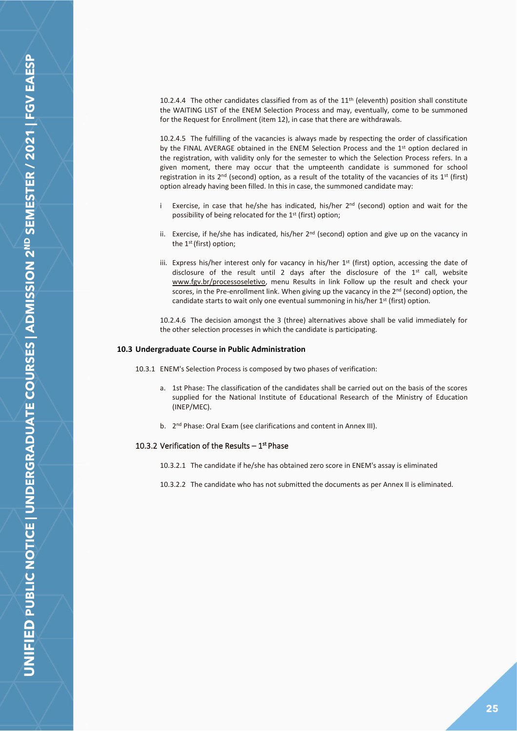10.2.4.4 The other candidates classified from as of the  $11<sup>th</sup>$  (eleventh) position shall constitute the WAITING LIST of the ENEM Selection Process and may, eventually, come to be summoned for the Request for Enrollment (item 12), in case that there are withdrawals.

10.2.4.5 The fulfilling of the vacancies is always made by respecting the order of classification by the FINAL AVERAGE obtained in the ENEM Selection Process and the 1<sup>st</sup> option declared in the registration, with validity only for the semester to which the Selection Process refers. In a given moment, there may occur that the umpteenth candidate is summoned for school registration in its  $2<sup>nd</sup>$  (second) option, as a result of the totality of the vacancies of its  $1<sup>st</sup>$  (first) option already having been filled. In this in case, the summoned candidate may:

- i Exercise, in case that he/she has indicated, his/her  $2<sup>nd</sup>$  (second) option and wait for the possibility of being relocated for the 1st (first) option;
- ii. Exercise, if he/she has indicated, his/her  $2^{nd}$  (second) option and give up on the vacancy in the 1st (first) option;
- iii. Express his/her interest only for vacancy in his/her 1st (first) option, accessing the date of disclosure of the result until 2 days after the disclosure of the  $1<sup>st</sup>$  call, website www.fgv.br/processoseletivo, menu Results in link Follow up the result and check your scores, in the Pre-enrollment link. When giving up the vacancy in the  $2<sup>nd</sup>$  (second) option, the candidate starts to wait only one eventual summoning in his/her 1<sup>st</sup> (first) option.

10.2.4.6 The decision amongst the 3 (three) alternatives above shall be valid immediately for the other selection processes in which the candidate is participating.

#### <span id="page-24-0"></span>**10.3 Undergraduate Course in Public Administration**

- 10.3.1 ENEM's Selection Process is composed by two phases of verification:
	- a. 1st Phase: The classification of the candidates shall be carried out on the basis of the scores supplied for the National Institute of Educational Research of the Ministry of Education (INEP/MEC).
	- b. 2<sup>nd</sup> Phase: Oral Exam (see clarifications and content in Annex III).

## <span id="page-24-1"></span>10.3.2 Verification of the Results  $-1^{st}$  Phase

- 10.3.2.1 The candidate if he/she has obtained zero score in ENEM's assay is eliminated
- 10.3.2.2 The candidate who has not submitted the documents as per Annex II is eliminated.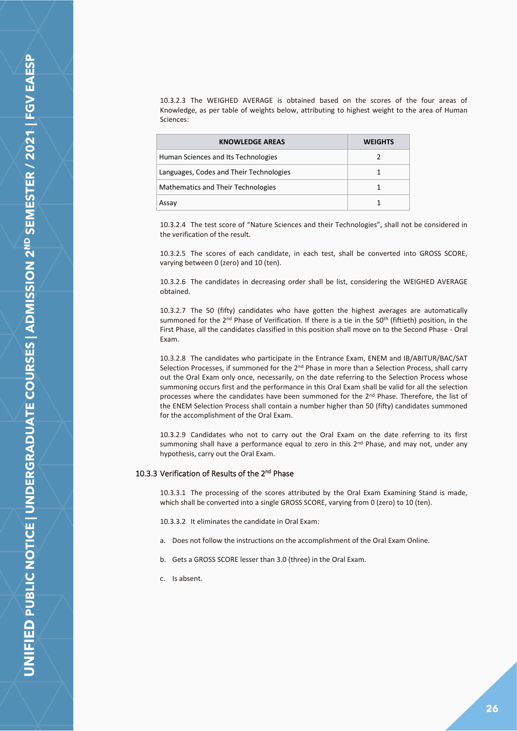10.3.2.3 The WEIGHED AVERAGE is obtained based on the scores of the four areas of Knowledge, as per table of weights below, attributing to highest weight to the area of Human Sciences:

| <b>KNOWLEDGE AREAS</b>                  | <b>WEIGHTS</b> |
|-----------------------------------------|----------------|
| Human Sciences and Its Technologies     |                |
| Languages, Codes and Their Technologies |                |
| Mathematics and Their Technologies      |                |
| Assay                                   |                |

10.3.2.4 The test score of "Nature Sciences and their Technologies", shall not be considered in the verification of the result.

10.3.2.5 The scores of each candidate, in each test, shall be converted into GROSS SCORE, varying between 0 (zero) and 10 (ten).

10.3.2.6 The candidates in decreasing order shall be list, considering the WEIGHED AVERAGE obtained.

10.3.2.7 The 50 (fifty) candidates who have gotten the highest averages are automatically summoned for the 2<sup>nd</sup> Phase of Verification. If there is a tie in the 50<sup>th</sup> (fiftieth) position, in the First Phase, all the candidates classified in this position shall move on to the Second Phase - Oral Exam.

10.3.2.8 The candidates who participate in the Entrance Exam, ENEM and IB/ABITUR/BAC/SAT Selection Processes, if summoned for the 2<sup>nd</sup> Phase in more than a Selection Process, shall carry out the Oral Exam only once, necessarily, on the date referring to the Selection Process whose summoning occurs first and the performance in this Oral Exam shall be valid for all the selection processes where the candidates have been summoned for the  $2<sup>nd</sup>$  Phase. Therefore, the list of the ENEM Selection Process shall contain a number higher than 50 (fifty) candidates summoned for the accomplishment of the Oral Exam.

10.3.2.9 Candidates who not to carry out the Oral Exam on the date referring to its first summoning shall have a performance equal to zero in this 2<sup>nd</sup> Phase, and may not, under any hypothesis, carry out the Oral Exam.

## <span id="page-25-0"></span>10.3.3 Verification of Results of the 2<sup>nd</sup> Phase

10.3.3.1 The processing of the scores attributed by the Oral Exam Examining Stand is made, which shall be converted into a single GROSS SCORE, varying from 0 (zero) to 10 (ten).

10.3.3.2 It eliminates the candidate in Oral Exam:

- a. Does not follow the instructions on the accomplishment of the Oral Exam Online.
- b. Gets a GROSS SCORE lesser than 3.0 (three) in the Oral Exam.
- c. Is absent.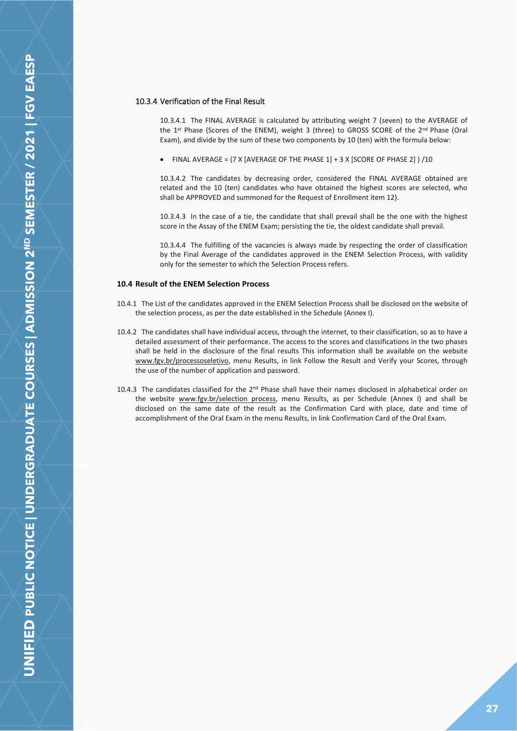## <span id="page-26-0"></span>10.3.4 Verification of the Final Result

10.3.4.1 The FINAL AVERAGE is calculated by attributing weight 7 (seven) to the AVERAGE of the 1<sup>st</sup> Phase (Scores of the ENEM), weight 3 (three) to GROSS SCORE of the 2<sup>nd</sup> Phase (Oral Exam), and divide by the sum of these two components by 10 (ten) with the formula below:

• FINAL AVERAGE =  $(7 \times 1)$  average of the phase  $1] + 3 \times 1$  score of phase  $2] / 10$ 

10.3.4.2 The candidates by decreasing order, considered the FINAL AVERAGE obtained are related and the 10 (ten) candidates who have obtained the highest scores are selected, who shall be APPROVED and summoned for the Request of Enrollment item 12).

10.3.4.3 In the case of a tie, the candidate that shall prevail shall be the one with the highest score in the Assay of the ENEM Exam; persisting the tie, the oldest candidate shall prevail.

10.3.4.4 The fulfilling of the vacancies is always made by respecting the order of classification by the Final Average of the candidates approved in the ENEM Selection Process, with validity only for the semester to which the Selection Process refers.

## <span id="page-26-1"></span>**10.4 Result of the ENEM Selection Process**

- 10.4.1 The List of the candidates approved in the ENEM Selection Process shall be disclosed on the website of the selection process, as per the date established in the Schedule (Annex I).
- 10.4.2 The candidates shall have individual access, through the internet, to their classification, so as to have a detailed assessment of their performance. The access to the scores and classifications in the two phases shall be held in the disclosure of the final results This information shall be available on the website www.fgv.br/processoseletivo, menu Results, in link Follow the Result and Verify your Scores, through the use of the number of application and password.
- 10.4.3 The candidates classified for the  $2<sup>nd</sup>$  Phase shall have their names disclosed in alphabetical order on the website www.fgv.br/selection process, menu Results, as per Schedule (Annex I) and shall be disclosed on the same date of the result as the Confirmation Card with place, date and time of accomplishment of the Oral Exam in the menu Results, in link Confirmation Card of the Oral Exam.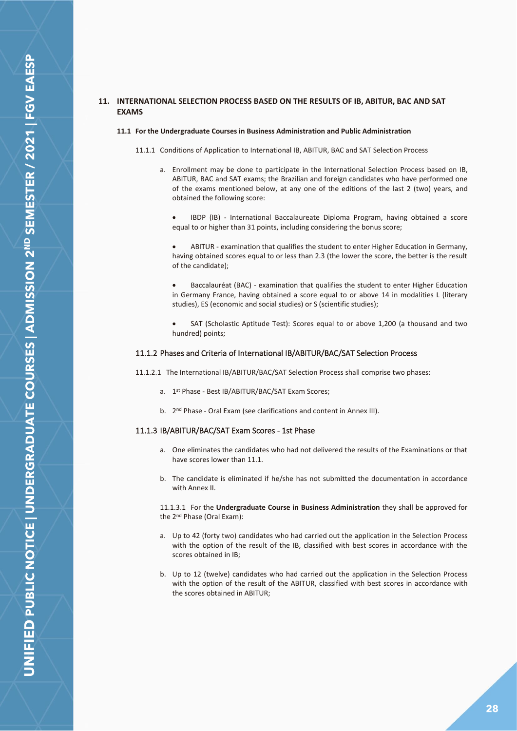## <span id="page-27-0"></span>**11. INTERNATIONAL SELECTION PROCESS BASED ON THE RESULTS OF IB, ABITUR, BAC AND SAT EXAMS**

#### **11.1 For the Undergraduate Courses in Business Administration and Public Administration**

- 11.1.1 Conditions of Application to International IB, ABITUR, BAC and SAT Selection Process
	- a. Enrollment may be done to participate in the International Selection Process based on IB, ABITUR, BAC and SAT exams; the Brazilian and foreign candidates who have performed one of the exams mentioned below, at any one of the editions of the last 2 (two) years, and obtained the following score:
		- IBDP (IB) International Baccalaureate Diploma Program, having obtained a score equal to or higher than 31 points, including considering the bonus score;

• ABITUR - examination that qualifies the student to enter Higher Education in Germany, having obtained scores equal to or less than 2.3 (the lower the score, the better is the result of the candidate);

• Baccalauréat (BAC) - examination that qualifies the student to enter Higher Education in Germany France, having obtained a score equal to or above 14 in modalities L (literary studies), ES (economic and social studies) or S (scientific studies);

SAT (Scholastic Aptitude Test): Scores equal to or above 1,200 (a thousand and two hundred) points;

#### <span id="page-27-1"></span>11.1.2 Phases and Criteria of International IB/ABITUR/BAC/SAT Selection Process

11.1.2.1 The International IB/ABITUR/BAC/SAT Selection Process shall comprise two phases:

- a. 1 st Phase Best IB/ABITUR/BAC/SAT Exam Scores;
- b. 2<sup>nd</sup> Phase Oral Exam (see clarifications and content in Annex III).

#### <span id="page-27-2"></span>11.1.3 IB/ABITUR/BAC/SAT Exam Scores - 1st Phase

- a. One eliminates the candidates who had not delivered the results of the Examinations or that have scores lower than 11.1.
- b. The candidate is eliminated if he/she has not submitted the documentation in accordance with Annex II.

11.1.3.1 For the **Undergraduate Course in Business Administration** they shall be approved for the 2nd Phase (Oral Exam):

- a. Up to 42 (forty two) candidates who had carried out the application in the Selection Process with the option of the result of the IB, classified with best scores in accordance with the scores obtained in IB;
- b. Up to 12 (twelve) candidates who had carried out the application in the Selection Process with the option of the result of the ABITUR, classified with best scores in accordance with the scores obtained in ABITUR;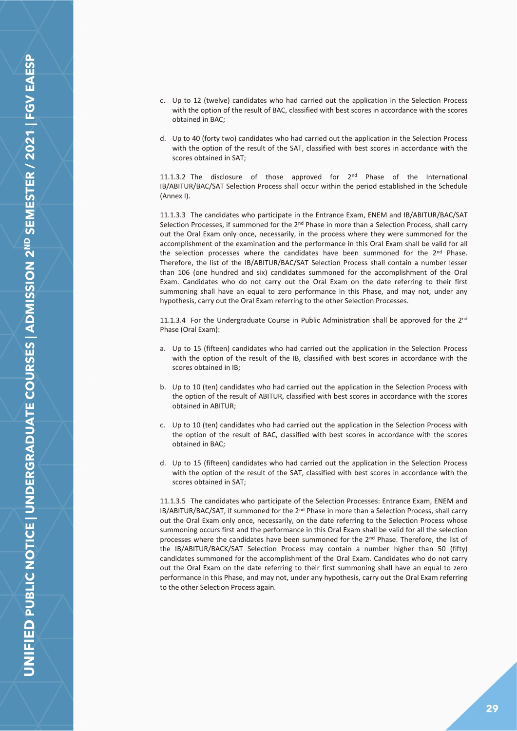- c. Up to 12 (twelve) candidates who had carried out the application in the Selection Process with the option of the result of BAC, classified with best scores in accordance with the scores obtained in BAC;
- d. Up to 40 (forty two) candidates who had carried out the application in the Selection Process with the option of the result of the SAT, classified with best scores in accordance with the scores obtained in SAT;

11.1.3.2 The disclosure of those approved for  $2<sup>nd</sup>$  Phase of the International IB/ABITUR/BAC/SAT Selection Process shall occur within the period established in the Schedule (Annex I).

11.1.3.3 The candidates who participate in the Entrance Exam, ENEM and IB/ABITUR/BAC/SAT Selection Processes, if summoned for the 2<sup>nd</sup> Phase in more than a Selection Process, shall carry out the Oral Exam only once, necessarily, in the process where they were summoned for the accomplishment of the examination and the performance in this Oral Exam shall be valid for all the selection processes where the candidates have been summoned for the 2<sup>nd</sup> Phase. Therefore, the list of the IB/ABITUR/BAC/SAT Selection Process shall contain a number lesser than 106 (one hundred and six) candidates summoned for the accomplishment of the Oral Exam. Candidates who do not carry out the Oral Exam on the date referring to their first summoning shall have an equal to zero performance in this Phase, and may not, under any hypothesis, carry out the Oral Exam referring to the other Selection Processes.

11.1.3.4 For the Undergraduate Course in Public Administration shall be approved for the  $2<sup>nd</sup>$ Phase (Oral Exam):

- a. Up to 15 (fifteen) candidates who had carried out the application in the Selection Process with the option of the result of the IB, classified with best scores in accordance with the scores obtained in IB;
- b. Up to 10 (ten) candidates who had carried out the application in the Selection Process with the option of the result of ABITUR, classified with best scores in accordance with the scores obtained in ABITUR;
- c. Up to 10 (ten) candidates who had carried out the application in the Selection Process with the option of the result of BAC, classified with best scores in accordance with the scores obtained in BAC;
- d. Up to 15 (fifteen) candidates who had carried out the application in the Selection Process with the option of the result of the SAT, classified with best scores in accordance with the scores obtained in SAT;

11.1.3.5 The candidates who participate of the Selection Processes: Entrance Exam, ENEM and IB/ABITUR/BAC/SAT, if summoned for the 2<sup>nd</sup> Phase in more than a Selection Process, shall carry out the Oral Exam only once, necessarily, on the date referring to the Selection Process whose summoning occurs first and the performance in this Oral Exam shall be valid for all the selection processes where the candidates have been summoned for the 2<sup>nd</sup> Phase. Therefore, the list of the IB/ABITUR/BACK/SAT Selection Process may contain a number higher than 50 (fifty) candidates summoned for the accomplishment of the Oral Exam. Candidates who do not carry out the Oral Exam on the date referring to their first summoning shall have an equal to zero performance in this Phase, and may not, under any hypothesis, carry out the Oral Exam referring to the other Selection Process again.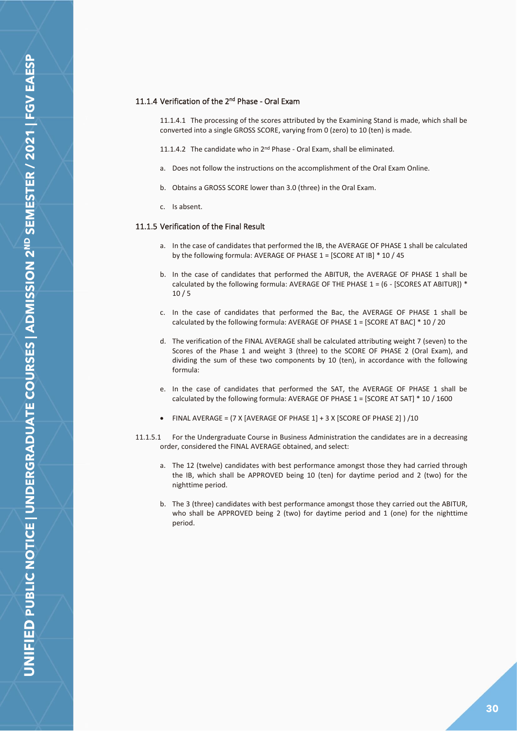## <span id="page-29-0"></span>11.1.4 Verification of the 2<sup>nd</sup> Phase - Oral Exam

11.1.4.1 The processing of the scores attributed by the Examining Stand is made, which shall be converted into a single GROSS SCORE, varying from 0 (zero) to 10 (ten) is made.

- 11.1.4.2 The candidate who in  $2^{nd}$  Phase Oral Exam, shall be eliminated.
- a. Does not follow the instructions on the accomplishment of the Oral Exam Online.
- b. Obtains a GROSS SCORE lower than 3.0 (three) in the Oral Exam.
- c. Is absent.

#### <span id="page-29-1"></span>11.1.5 Verification of the Final Result

- a. In the case of candidates that performed the IB, the AVERAGE OF PHASE 1 shall be calculated by the following formula: AVERAGE OF PHASE 1 = [SCORE AT IB] \* 10 / 45
- b. In the case of candidates that performed the ABITUR, the AVERAGE OF PHASE 1 shall be calculated by the following formula: AVERAGE OF THE PHASE  $1 = (6 - [SCORES AT ABITUR])$  \*  $10/5$
- c. In the case of candidates that performed the Bac, the AVERAGE OF PHASE 1 shall be calculated by the following formula: AVERAGE OF PHASE  $1 =$  [SCORE AT BAC]  $*$  10 / 20
- d. The verification of the FINAL AVERAGE shall be calculated attributing weight 7 (seven) to the Scores of the Phase 1 and weight 3 (three) to the SCORE OF PHASE 2 (Oral Exam), and dividing the sum of these two components by 10 (ten), in accordance with the following formula:
- e. In the case of candidates that performed the SAT, the AVERAGE OF PHASE 1 shall be calculated by the following formula: AVERAGE OF PHASE 1 = [SCORE AT SAT] \* 10 / 1600
- FINAL AVERAGE = (7 X [AVERAGE OF PHASE 1] + 3 X [SCORE OF PHASE 2] ) /10
- 11.1.5.1 For the Undergraduate Course in Business Administration the candidates are in a decreasing order, considered the FINAL AVERAGE obtained, and select:
	- a. The 12 (twelve) candidates with best performance amongst those they had carried through the IB, which shall be APPROVED being 10 (ten) for daytime period and 2 (two) for the nighttime period.
	- b. The 3 (three) candidates with best performance amongst those they carried out the ABITUR, who shall be APPROVED being 2 (two) for daytime period and 1 (one) for the nighttime period.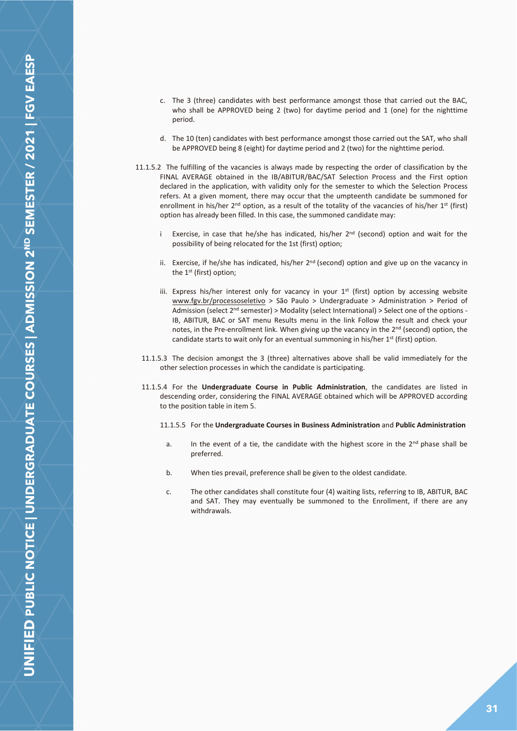- c. The 3 (three) candidates with best performance amongst those that carried out the BAC, who shall be APPROVED being 2 (two) for daytime period and 1 (one) for the nighttime period.
- d. The 10 (ten) candidates with best performance amongst those carried out the SAT, who shall be APPROVED being 8 (eight) for daytime period and 2 (two) for the nighttime period.
- 11.1.5.2 The fulfilling of the vacancies is always made by respecting the order of classification by the FINAL AVERAGE obtained in the IB/ABITUR/BAC/SAT Selection Process and the First option declared in the application, with validity only for the semester to which the Selection Process refers. At a given moment, there may occur that the umpteenth candidate be summoned for enrollment in his/her  $2^{nd}$  option, as a result of the totality of the vacancies of his/her  $1^{st}$  (first) option has already been filled. In this case, the summoned candidate may:
	- i Exercise, in case that he/she has indicated, his/her  $2<sup>nd</sup>$  (second) option and wait for the possibility of being relocated for the 1st (first) option;
	- ii. Exercise, if he/she has indicated, his/her 2<sup>nd</sup> (second) option and give up on the vacancy in the 1st (first) option;
	- iii. Express his/her interest only for vacancy in your  $1<sup>st</sup>$  (first) option by accessing website www.fgv.br/processoseletivo > São Paulo > Undergraduate > Administration > Period of Admission (select  $2<sup>nd</sup>$  semester) > Modality (select International) > Select one of the options -IB, ABITUR, BAC or SAT menu Results menu in the link Follow the result and check your notes, in the Pre-enrollment link. When giving up the vacancy in the 2<sup>nd</sup> (second) option, the candidate starts to wait only for an eventual summoning in his/her  $1<sup>st</sup>$  (first) option.
	- 11.1.5.3 The decision amongst the 3 (three) alternatives above shall be valid immediately for the other selection processes in which the candidate is participating.
	- 11.1.5.4 For the **Undergraduate Course in Public Administration**, the candidates are listed in descending order, considering the FINAL AVERAGE obtained which will be APPROVED according to the position table in item 5.
		- 11.1.5.5 For the **Undergraduate Courses in Business Administration** and **Public Administration**
			- a. In the event of a tie, the candidate with the highest score in the  $2<sup>nd</sup>$  phase shall be preferred.
			- b. When ties prevail, preference shall be given to the oldest candidate.
			- c. The other candidates shall constitute four (4) waiting lists, referring to IB, ABITUR, BAC and SAT. They may eventually be summoned to the Enrollment, if there are any withdrawals.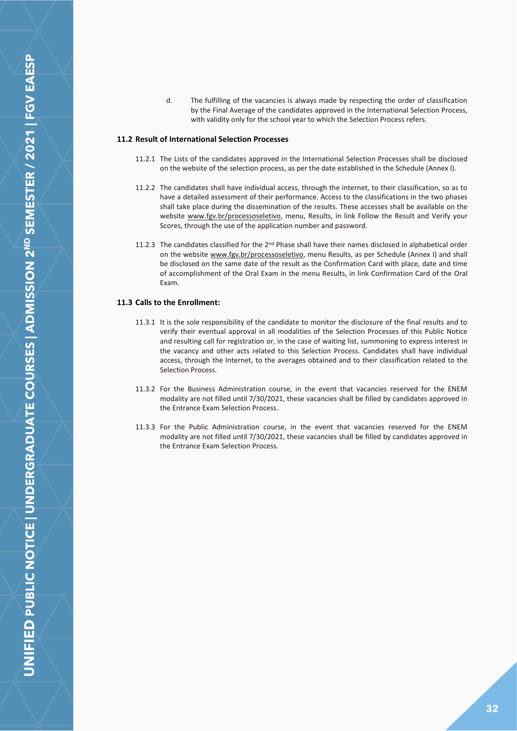d. The fulfilling of the vacancies is always made by respecting the order of classification by the Final Average of the candidates approved in the International Selection Process, with validity only for the school year to which the Selection Process refers.

## <span id="page-31-0"></span>**11.2 Result of International Selection Processes**

- 11.2.1 The Lists of the candidates approved in the International Selection Processes shall be disclosed on the website of the selection process, as per the date established in the Schedule (Annex I).
- 11.2.2 The candidates shall have individual access, through the internet, to their classification, so as to have a detailed assessment of their performance. Access to the classifications in the two phases shall take place during the dissemination of the results. These accesses shall be available on the website www.fgv.br/processoseletivo, menu, Results, in link Follow the Result and Verify your Scores, through the use of the application number and password.
- 11.2.3 The candidates classified for the 2<sup>nd</sup> Phase shall have their names disclosed in alphabetical order on the website www.fgv.br/processoseletivo, menu Results, as per Schedule (Annex I) and shall be disclosed on the same date of the result as the Confirmation Card with place, date and time of accomplishment of the Oral Exam in the menu Results, in link Confirmation Card of the Oral Exam.

## <span id="page-31-1"></span>**11.3 Calls to the Enrollment:**

- 11.3.1 It is the sole responsibility of the candidate to monitor the disclosure of the final results and to verify their eventual approval in all modalities of the Selection Processes of this Public Notice and resulting call for registration or, in the case of waiting list, summoning to express interest in the vacancy and other acts related to this Selection Process. Candidates shall have individual access, through the Internet, to the averages obtained and to their classification related to the Selection Process.
- 11.3.2 For the Business Administration course, in the event that vacancies reserved for the ENEM modality are not filled until 7/30/2021, these vacancies shall be filled by candidates approved in the Entrance Exam Selection Process.
- 11.3.3 For the Public Administration course, in the event that vacancies reserved for the ENEM modality are not filled until 7/30/2021, these vacancies shall be filled by candidates approved in the Entrance Exam Selection Process.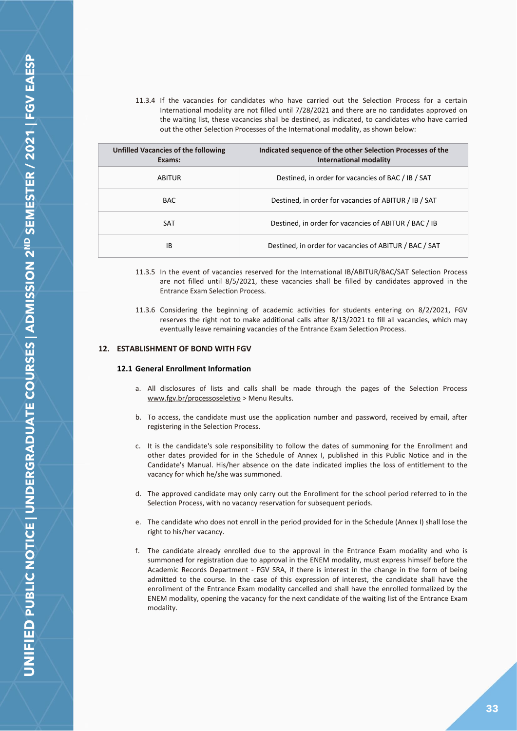11.3.4 If the vacancies for candidates who have carried out the Selection Process for a certain International modality are not filled until 7/28/2021 and there are no candidates approved on the waiting list, these vacancies shall be destined, as indicated, to candidates who have carried out the other Selection Processes of the International modality, as shown below:

| Unfilled Vacancies of the following<br>Exams: | Indicated sequence of the other Selection Processes of the<br><b>International modality</b> |
|-----------------------------------------------|---------------------------------------------------------------------------------------------|
| ABITUR                                        | Destined, in order for vacancies of BAC / IB / SAT                                          |
| <b>BAC</b>                                    | Destined, in order for vacancies of ABITUR / IB / SAT                                       |
| <b>SAT</b>                                    | Destined, in order for vacancies of ABITUR / BAC / IB                                       |
| ΙB                                            | Destined, in order for vacancies of ABITUR / BAC / SAT                                      |

- 11.3.5 In the event of vacancies reserved for the International IB/ABITUR/BAC/SAT Selection Process are not filled until 8/5/2021, these vacancies shall be filled by candidates approved in the Entrance Exam Selection Process.
- 11.3.6 Considering the beginning of academic activities for students entering on 8/2/2021, FGV reserves the right not to make additional calls after 8/13/2021 to fill all vacancies, which may eventually leave remaining vacancies of the Entrance Exam Selection Process.

## <span id="page-32-1"></span><span id="page-32-0"></span>**12. ESTABLISHMENT OF BOND WITH FGV**

#### **12.1 General Enrollment Information**

- a. All disclosures of lists and calls shall be made through the pages of the Selection Process www.fgv.br/processoseletivo > Menu Results.
- b. To access, the candidate must use the application number and password, received by email, after registering in the Selection Process.
- c. It is the candidate's sole responsibility to follow the dates of summoning for the Enrollment and other dates provided for in the Schedule of Annex I, published in this Public Notice and in the Candidate's Manual. His/her absence on the date indicated implies the loss of entitlement to the vacancy for which he/she was summoned.
- d. The approved candidate may only carry out the Enrollment for the school period referred to in the Selection Process, with no vacancy reservation for subsequent periods.
- e. The candidate who does not enroll in the period provided for in the Schedule (Annex I) shall lose the right to his/her vacancy.
- f. The candidate already enrolled due to the approval in the Entrance Exam modality and who is summoned for registration due to approval in the ENEM modality, must express himself before the Academic Records Department - FGV SRA, if there is interest in the change in the form of being admitted to the course. In the case of this expression of interest, the candidate shall have the enrollment of the Entrance Exam modality cancelled and shall have the enrolled formalized by the ENEM modality, opening the vacancy for the next candidate of the waiting list of the Entrance Exam modality.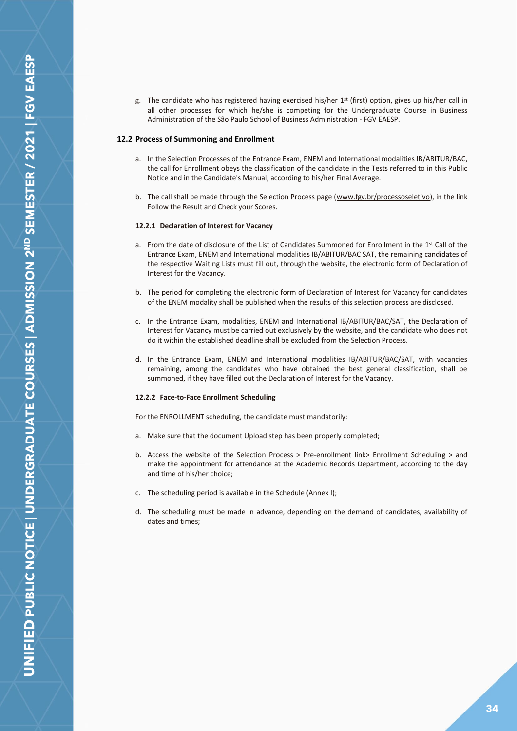g. The candidate who has registered having exercised his/her 1<sup>st</sup> (first) option, gives up his/her call in all other processes for which he/she is competing for the Undergraduate Course in Business Administration of the São Paulo School of Business Administration - FGV EAESP.

#### <span id="page-33-0"></span>**12.2 Process of Summoning and Enrollment**

- a. In the Selection Processes of the Entrance Exam, ENEM and International modalities IB/ABITUR/BAC, the call for Enrollment obeys the classification of the candidate in the Tests referred to in this Public Notice and in the Candidate's Manual, according to his/her Final Average.
- b. The call shall be made through the Selection Process page (www.fgv.br/processoseletivo), in the link Follow the Result and Check your Scores.

#### **12.2.1 Declaration of Interest for Vacancy**

- a. From the date of disclosure of the List of Candidates Summoned for Enrollment in the 1<sup>st</sup> Call of the Entrance Exam, ENEM and International modalities IB/ABITUR/BAC SAT, the remaining candidates of the respective Waiting Lists must fill out, through the website, the electronic form of Declaration of Interest for the Vacancy.
- b. The period for completing the electronic form of Declaration of Interest for Vacancy for candidates of the ENEM modality shall be published when the results of this selection process are disclosed.
- c. In the Entrance Exam, modalities, ENEM and International IB/ABITUR/BAC/SAT, the Declaration of Interest for Vacancy must be carried out exclusively by the website, and the candidate who does not do it within the established deadline shall be excluded from the Selection Process.
- d. In the Entrance Exam, ENEM and International modalities IB/ABITUR/BAC/SAT, with vacancies remaining, among the candidates who have obtained the best general classification, shall be summoned, if they have filled out the Declaration of Interest for the Vacancy.

#### **12.2.2 Face-to-Face Enrollment Scheduling**

For the ENROLLMENT scheduling, the candidate must mandatorily:

- a. Make sure that the document Upload step has been properly completed;
- b. Access the website of the Selection Process > Pre-enrollment link> Enrollment Scheduling > and make the appointment for attendance at the Academic Records Department, according to the day and time of his/her choice;
- c. The scheduling period is available in the Schedule (Annex I);
- d. The scheduling must be made in advance, depending on the demand of candidates, availability of dates and times;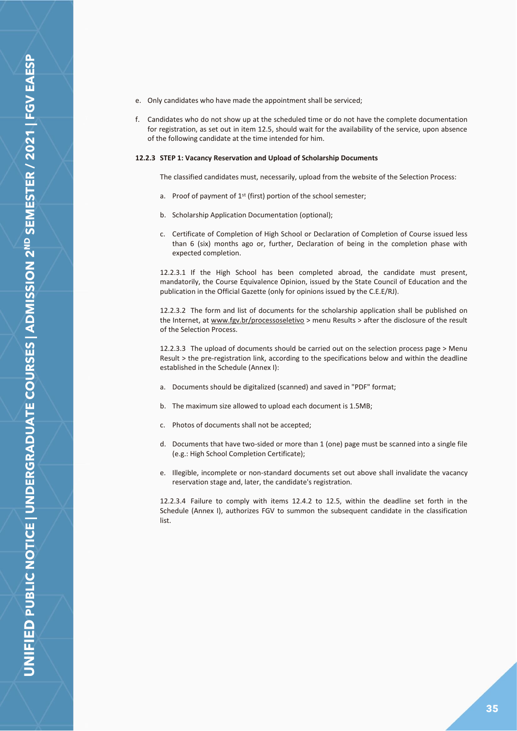- e. Only candidates who have made the appointment shall be serviced;
- f. Candidates who do not show up at the scheduled time or do not have the complete documentation for registration, as set out in item 12.5, should wait for the availability of the service, upon absence of the following candidate at the time intended for him.

#### **12.2.3 STEP 1: Vacancy Reservation and Upload of Scholarship Documents**

The classified candidates must, necessarily, upload from the website of the Selection Process:

- a. Proof of payment of 1<sup>st</sup> (first) portion of the school semester;
- b. Scholarship Application Documentation (optional);
- c. Certificate of Completion of High School or Declaration of Completion of Course issued less than 6 (six) months ago or, further, Declaration of being in the completion phase with expected completion.

12.2.3.1 If the High School has been completed abroad, the candidate must present, mandatorily, the Course Equivalence Opinion, issued by the State Council of Education and the publication in the Official Gazette (only for opinions issued by the C.E.E/RJ).

12.2.3.2 The form and list of documents for the scholarship application shall be published on the Internet, at www.fgv.br/processoseletivo > menu Results > after the disclosure of the result of the Selection Process.

12.2.3.3 The upload of documents should be carried out on the selection process page > Menu Result > the pre-registration link, according to the specifications below and within the deadline established in the Schedule (Annex I):

- a. Documents should be digitalized (scanned) and saved in "PDF" format;
- b. The maximum size allowed to upload each document is 1.5MB;
- c. Photos of documents shall not be accepted;
- d. Documents that have two-sided or more than 1 (one) page must be scanned into a single file (e.g.: High School Completion Certificate);
- e. Illegible, incomplete or non-standard documents set out above shall invalidate the vacancy reservation stage and, later, the candidate's registration.

12.2.3.4 Failure to comply with items 12.4.2 to 12.5, within the deadline set forth in the Schedule (Annex I), authorizes FGV to summon the subsequent candidate in the classification list.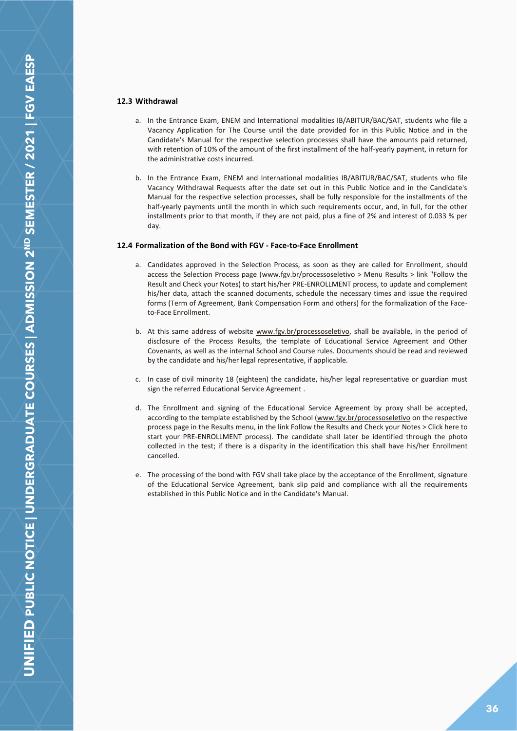## <span id="page-35-0"></span>**12.3 Withdrawal**

- a. In the Entrance Exam, ENEM and International modalities IB/ABITUR/BAC/SAT, students who file a Vacancy Application for The Course until the date provided for in this Public Notice and in the Candidate's Manual for the respective selection processes shall have the amounts paid returned, with retention of 10% of the amount of the first installment of the half-yearly payment, in return for the administrative costs incurred.
- b. In the Entrance Exam, ENEM and International modalities IB/ABITUR/BAC/SAT, students who file Vacancy Withdrawal Requests after the date set out in this Public Notice and in the Candidate's Manual for the respective selection processes, shall be fully responsible for the installments of the half-yearly payments until the month in which such requirements occur, and, in full, for the other installments prior to that month, if they are not paid, plus a fine of 2% and interest of 0.033 % per day.

#### <span id="page-35-1"></span>**12.4 Formalization of the Bond with FGV - Face-to-Face Enrollment**

- a. Candidates approved in the Selection Process, as soon as they are called for Enrollment, should access the Selection Process page (www.fgv.br/processoseletivo > Menu Results > link "Follow the Result and Check your Notes) to start his/her PRE-ENROLLMENT process, to update and complement his/her data, attach the scanned documents, schedule the necessary times and issue the required forms (Term of Agreement, Bank Compensation Form and others) for the formalization of the Faceto-Face Enrollment.
- b. At this same address of website www.fgv.br/processoseletivo, shall be available, in the period of disclosure of the Process Results, the template of Educational Service Agreement and Other Covenants, as well as the internal School and Course rules. Documents should be read and reviewed by the candidate and his/her legal representative, if applicable.
- c. In case of civil minority 18 (eighteen) the candidate, his/her legal representative or guardian must sign the referred Educational Service Agreement .
- d. The Enrollment and signing of the Educational Service Agreement by proxy shall be accepted, according to the template established by the School (www.fgv.br/processoseletivo on the respective process page in the Results menu, in the link Follow the Results and Check your Notes > Click here to start your PRE-ENROLLMENT process). The candidate shall later be identified through the photo collected in the test; if there is a disparity in the identification this shall have his/her Enrollment cancelled.
- e. The processing of the bond with FGV shall take place by the acceptance of the Enrollment, signature of the Educational Service Agreement, bank slip paid and compliance with all the requirements established in this Public Notice and in the Candidate's Manual.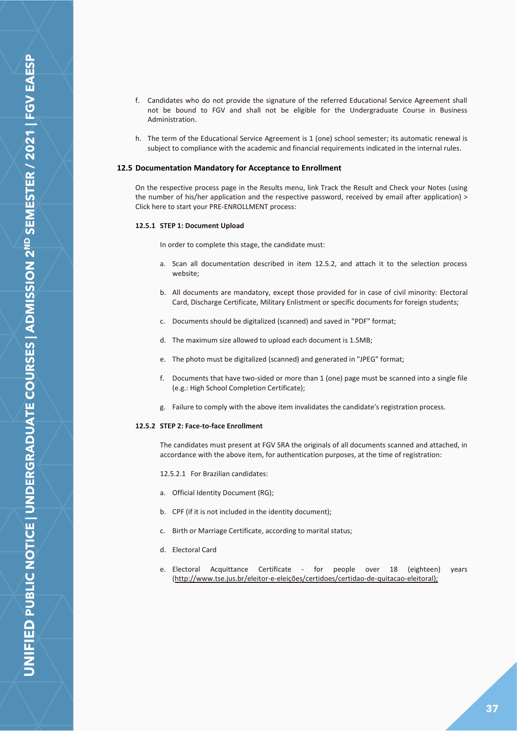- f. Candidates who do not provide the signature of the referred Educational Service Agreement shall not be bound to FGV and shall not be eligible for the Undergraduate Course in Business Administration.
- h. The term of the Educational Service Agreement is 1 (one) school semester; its automatic renewal is subject to compliance with the academic and financial requirements indicated in the internal rules.

#### <span id="page-36-0"></span>**12.5 Documentation Mandatory for Acceptance to Enrollment**

On the respective process page in the Results menu, link Track the Result and Check your Notes (using the number of his/her application and the respective password, received by email after application) > Click here to start your PRE-ENROLLMENT process:

#### **12.5.1 STEP 1: Document Upload**

In order to complete this stage, the candidate must:

- a. Scan all documentation described in item 12.5.2, and attach it to the selection process website;
- b. All documents are mandatory, except those provided for in case of civil minority: Electoral Card, Discharge Certificate, Military Enlistment or specific documents for foreign students;
- c. Documents should be digitalized (scanned) and saved in "PDF" format;
- d. The maximum size allowed to upload each document is 1.5MB;
- e. The photo must be digitalized (scanned) and generated in "JPEG" format;
- f. Documents that have two-sided or more than 1 (one) page must be scanned into a single file (e.g.: High School Completion Certificate);
- g. Failure to comply with the above item invalidates the candidate's registration process.

#### **12.5.2 STEP 2: Face-to-face Enrollment**

The candidates must present at FGV SRA the originals of all documents scanned and attached, in accordance with the above item, for authentication purposes, at the time of registration:

12.5.2.1 For Brazilian candidates:

- a. Official Identity Document (RG);
- b. CPF (if it is not included in the identity document);
- c. Birth or Marriage Certificate, according to marital status;
- d. Electoral Card
- e. Electoral Acquittance Certificate for people over 18 (eighteen) years (http://www.tse.jus.br/eleitor-e-eleições/certidoes/certidao-de-quitacao-eleitoral);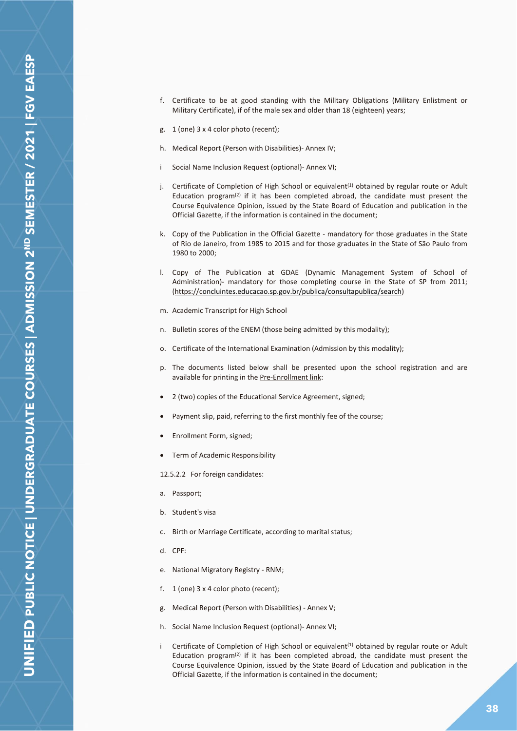- f. Certificate to be at good standing with the Military Obligations (Military Enlistment or Military Certificate), if of the male sex and older than 18 (eighteen) years;
- g. 1 (one) 3 x 4 color photo (recent);
- h. Medical Report (Person with Disabilities)- Annex IV;
- i Social Name Inclusion Request (optional)- Annex VI;
- j. Certificate of Completion of High School or equivalent<sup>(1)</sup> obtained by regular route or Adult Education program $<sup>(2)</sup>$  if it has been completed abroad, the candidate must present the</sup> Course Equivalence Opinion, issued by the State Board of Education and publication in the Official Gazette, if the information is contained in the document;
- k. Copy of the Publication in the Official Gazette mandatory for those graduates in the State of Rio de Janeiro, from 1985 to 2015 and for those graduates in the State of São Paulo from 1980 to 2000;
- l. Copy of The Publication at GDAE (Dynamic Management System of School of Administration)- mandatory for those completing course in the State of SP from 2011; (https://concluintes.educacao.sp.gov.br/publica/consultapublica/search)
- m. Academic Transcript for High School
- n. Bulletin scores of the ENEM (those being admitted by this modality);
- o. Certificate of the International Examination (Admission by this modality);
- p. The documents listed below shall be presented upon the school registration and are available for printing in the Pre-Enrollment link:
- 2 (two) copies of the Educational Service Agreement, signed;
- Payment slip, paid, referring to the first monthly fee of the course;
- Enrollment Form, signed;
- Term of Academic Responsibility

12.5.2.2 For foreign candidates:

- a. Passport;
- b. Student's visa
- c. Birth or Marriage Certificate, according to marital status;
- d. CPF:
- e. National Migratory Registry RNM;
- f. 1 (one) 3 x 4 color photo (recent);
- g. Medical Report (Person with Disabilities) Annex V;
- h. Social Name Inclusion Request (optional)- Annex VI;
- i Certificate of Completion of High School or equivalent<sup>(1)</sup> obtained by regular route or Adult Education program<sup>(2)</sup> if it has been completed abroad, the candidate must present the Course Equivalence Opinion, issued by the State Board of Education and publication in the Official Gazette, if the information is contained in the document;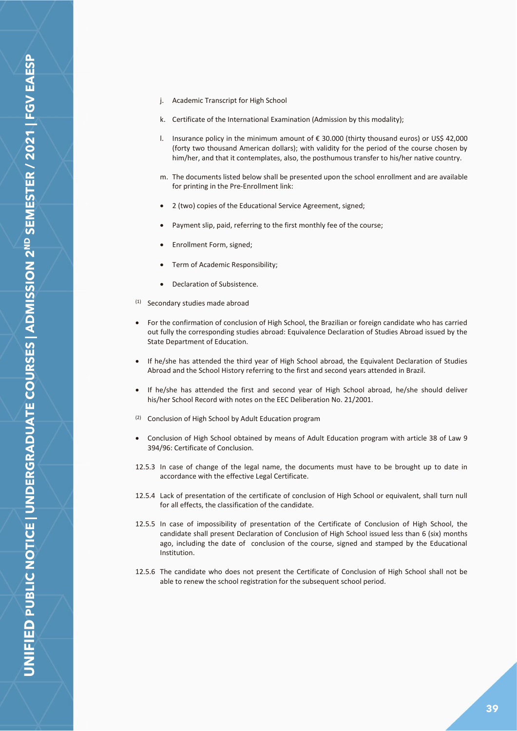- j. Academic Transcript for High School
- k. Certificate of the International Examination (Admission by this modality);
- l. Insurance policy in the minimum amount of € 30.000 (thirty thousand euros) or US\$ 42,000 (forty two thousand American dollars); with validity for the period of the course chosen by him/her, and that it contemplates, also, the posthumous transfer to his/her native country.
- m. The documents listed below shall be presented upon the school enrollment and are available for printing in the Pre-Enrollment link:
- 2 (two) copies of the Educational Service Agreement, signed;
- Payment slip, paid, referring to the first monthly fee of the course;
- Enrollment Form, signed;
- Term of Academic Responsibility;
- Declaration of Subsistence.
- (1) Secondary studies made abroad
- For the confirmation of conclusion of High School, the Brazilian or foreign candidate who has carried out fully the corresponding studies abroad: Equivalence Declaration of Studies Abroad issued by the State Department of Education.
- If he/she has attended the third year of High School abroad, the Equivalent Declaration of Studies Abroad and the School History referring to the first and second years attended in Brazil.
- If he/she has attended the first and second year of High School abroad, he/she should deliver his/her School Record with notes on the EEC Deliberation No. 21/2001.
- (2) Conclusion of High School by Adult Education program
- Conclusion of High School obtained by means of Adult Education program with article 38 of Law 9 394/96: Certificate of Conclusion.
- 12.5.3 In case of change of the legal name, the documents must have to be brought up to date in accordance with the effective Legal Certificate.
- 12.5.4 Lack of presentation of the certificate of conclusion of High School or equivalent, shall turn null for all effects, the classification of the candidate.
- 12.5.5 In case of impossibility of presentation of the Certificate of Conclusion of High School, the candidate shall present Declaration of Conclusion of High School issued less than 6 (six) months ago, including the date of conclusion of the course, signed and stamped by the Educational Institution.
- 12.5.6 The candidate who does not present the Certificate of Conclusion of High School shall not be able to renew the school registration for the subsequent school period.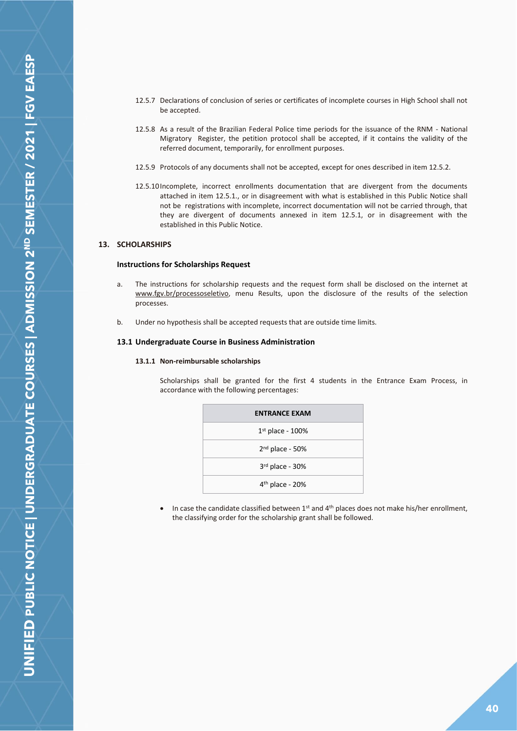- 12.5.7 Declarations of conclusion of series or certificates of incomplete courses in High School shall not be accepted.
- 12.5.8 As a result of the Brazilian Federal Police time periods for the issuance of the RNM National Migratory Register, the petition protocol shall be accepted, if it contains the validity of the referred document, temporarily, for enrollment purposes.
- 12.5.9 Protocols of any documents shall not be accepted, except for ones described in item 12.5.2.
- 12.5.10Incomplete, incorrect enrollments documentation that are divergent from the documents attached in item 12.5.1., or in disagreement with what is established in this Public Notice shall not be registrations with incomplete, incorrect documentation will not be carried through, that they are divergent of documents annexed in item 12.5.1, or in disagreement with the established in this Public Notice.

## <span id="page-39-1"></span><span id="page-39-0"></span>**13. SCHOLARSHIPS**

#### **Instructions for Scholarships Request**

- a. The instructions for scholarship requests and the request form shall be disclosed on the internet at www.fgv.br/processoseletivo, menu Results, upon the disclosure of the results of the selection processes.
- b. Under no hypothesis shall be accepted requests that are outside time limits.

#### <span id="page-39-2"></span>**13.1 Undergraduate Course in Business Administration**

## **13.1.1 Non-reimbursable scholarships**

Scholarships shall be granted for the first 4 students in the Entrance Exam Process, in accordance with the following percentages:

| <b>ENTRANCE EXAM</b> |
|----------------------|
| $1st$ place - 100%   |
| $2nd$ place - 50%    |
| 3rd place - 30%      |
| $4th$ place - 20%    |

• In case the candidate classified between  $1^{st}$  and  $4^{th}$  places does not make his/her enrollment, the classifying order for the scholarship grant shall be followed.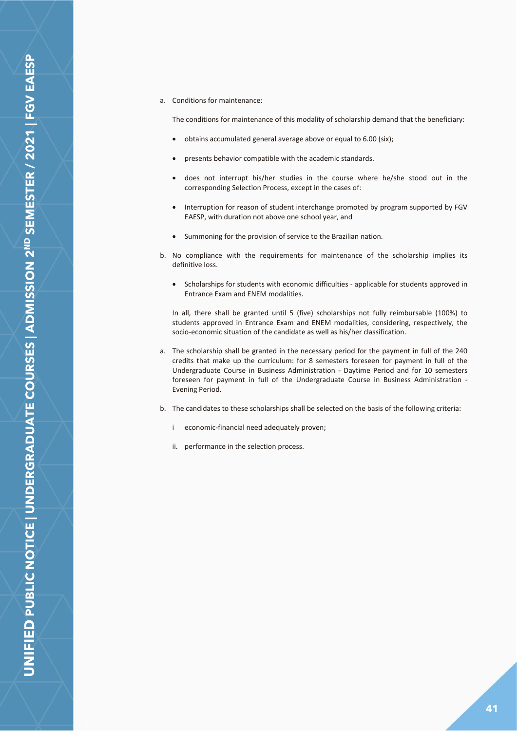## a. Conditions for maintenance:

The conditions for maintenance of this modality of scholarship demand that the beneficiary:

- obtains accumulated general average above or equal to 6.00 (six);
- presents behavior compatible with the academic standards.
- does not interrupt his/her studies in the course where he/she stood out in the corresponding Selection Process, except in the cases of:
- Interruption for reason of student interchange promoted by program supported by FGV EAESP, with duration not above one school year, and
- Summoning for the provision of service to the Brazilian nation.
- b. No compliance with the requirements for maintenance of the scholarship implies its definitive loss.
	- Scholarships for students with economic difficulties applicable for students approved in Entrance Exam and ENEM modalities.

In all, there shall be granted until 5 (five) scholarships not fully reimbursable (100%) to students approved in Entrance Exam and ENEM modalities, considering, respectively, the socio-economic situation of the candidate as well as his/her classification.

- a. The scholarship shall be granted in the necessary period for the payment in full of the 240 credits that make up the curriculum: for 8 semesters foreseen for payment in full of the Undergraduate Course in Business Administration - Daytime Period and for 10 semesters foreseen for payment in full of the Undergraduate Course in Business Administration - Evening Period.
- b. The candidates to these scholarships shall be selected on the basis of the following criteria:
	- i economic-financial need adequately proven;
	- ii. performance in the selection process.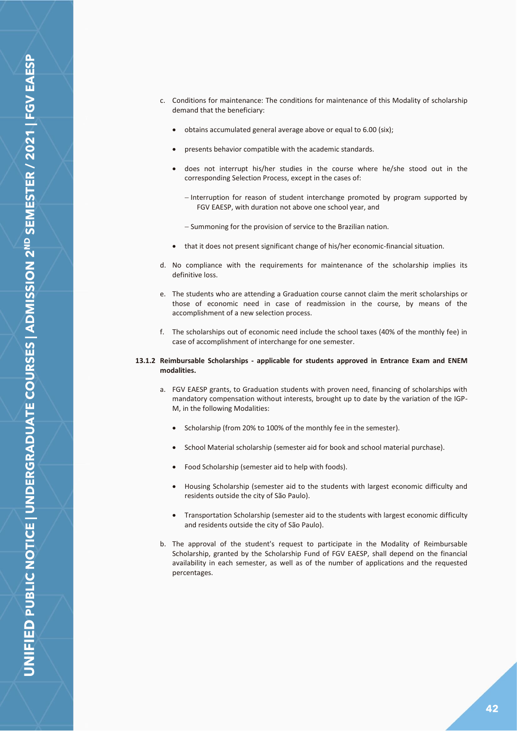- c. Conditions for maintenance: The conditions for maintenance of this Modality of scholarship demand that the beneficiary:
	- obtains accumulated general average above or equal to 6.00 (six);
	- presents behavior compatible with the academic standards.
	- does not interrupt his/her studies in the course where he/she stood out in the corresponding Selection Process, except in the cases of:
		- − Interruption for reason of student interchange promoted by program supported by FGV EAESP, with duration not above one school year, and
		- − Summoning for the provision of service to the Brazilian nation.
	- that it does not present significant change of his/her economic-financial situation.
- d. No compliance with the requirements for maintenance of the scholarship implies its definitive loss.
- e. The students who are attending a Graduation course cannot claim the merit scholarships or those of economic need in case of readmission in the course, by means of the accomplishment of a new selection process.
- f. The scholarships out of economic need include the school taxes (40% of the monthly fee) in case of accomplishment of interchange for one semester.

#### **13.1.2 Reimbursable Scholarships - applicable for students approved in Entrance Exam and ENEM modalities.**

- a. FGV EAESP grants, to Graduation students with proven need, financing of scholarships with mandatory compensation without interests, brought up to date by the variation of the IGP-M, in the following Modalities:
	- Scholarship (from 20% to 100% of the monthly fee in the semester).
	- School Material scholarship (semester aid for book and school material purchase).
	- Food Scholarship (semester aid to help with foods).
	- Housing Scholarship (semester aid to the students with largest economic difficulty and residents outside the city of São Paulo).
	- Transportation Scholarship (semester aid to the students with largest economic difficulty and residents outside the city of São Paulo).
- b. The approval of the student's request to participate in the Modality of Reimbursable Scholarship, granted by the Scholarship Fund of FGV EAESP, shall depend on the financial availability in each semester, as well as of the number of applications and the requested percentages.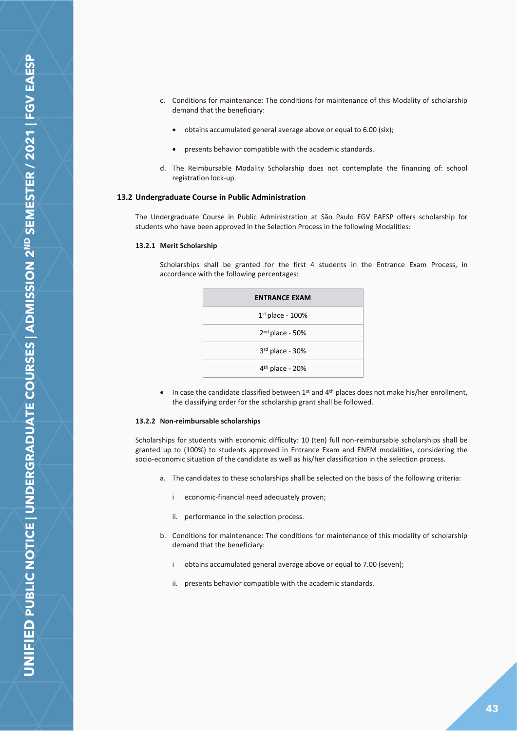- c. Conditions for maintenance: The conditions for maintenance of this Modality of scholarship demand that the beneficiary:
	- obtains accumulated general average above or equal to 6.00 (six);
	- presents behavior compatible with the academic standards.
- d. The Reimbursable Modality Scholarship does not contemplate the financing of: school registration lock-up.

#### <span id="page-42-0"></span>**13.2 Undergraduate Course in Public Administration**

The Undergraduate Course in Public Administration at São Paulo FGV EAESP offers scholarship for students who have been approved in the Selection Process in the following Modalities:

#### **13.2.1 Merit Scholarship**

Scholarships shall be granted for the first 4 students in the Entrance Exam Process, in accordance with the following percentages:

| <b>ENTRANCE EXAM</b> |
|----------------------|
| $1st$ place - 100%   |
| $2nd$ place - 50%    |
| 3rd place - 30%      |
| $4th$ place - 20%    |

• In case the candidate classified between  $1<sup>st</sup>$  and  $4<sup>th</sup>$  places does not make his/her enrollment, the classifying order for the scholarship grant shall be followed.

#### **13.2.2 Non-reimbursable scholarships**

Scholarships for students with economic difficulty: 10 (ten) full non-reimbursable scholarships shall be granted up to (100%) to students approved in Entrance Exam and ENEM modalities, considering the socio-economic situation of the candidate as well as his/her classification in the selection process.

- a. The candidates to these scholarships shall be selected on the basis of the following criteria:
	- i economic-financial need adequately proven;
	- ii. performance in the selection process.
- b. Conditions for maintenance: The conditions for maintenance of this modality of scholarship demand that the beneficiary:
	- i obtains accumulated general average above or equal to 7.00 (seven);
	- ii. presents behavior compatible with the academic standards.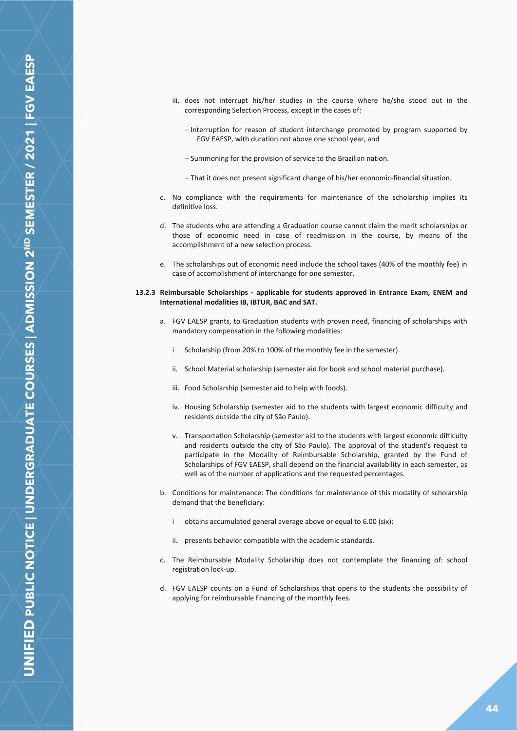**JNIFIED PUBLIC NOTICE | UNDERGRADUATE COURSES | ADMISSION 2<sup>ND</sup> SEMESTER / 2021 | FGV EAESP** 

- iii. does not interrupt his/her studies in the course where he/she stood out in the corresponding Selection Process, except in the cases of:
	- − Interruption for reason of student interchange promoted by program supported by FGV EAESP, with duration not above one school year, and
	- − Summoning for the provision of service to the Brazilian nation.
	- − That it does not present significant change of his/her economic-financial situation.
- c. No compliance with the requirements for maintenance of the scholarship implies its definitive loss.
- d. The students who are attending a Graduation course cannot claim the merit scholarships or those of economic need in case of readmission in the course, by means of the accomplishment of a new selection process.
- e. The scholarships out of economic need include the school taxes (40% of the monthly fee) in case of accomplishment of interchange for one semester.

#### **13.2.3 Reimbursable Scholarships - applicable for students approved in Entrance Exam, ENEM and International modalities IB, IBTUR, BAC and SAT.**

- a. FGV EAESP grants, to Graduation students with proven need, financing of scholarships with mandatory compensation in the following modalities:
	- i Scholarship (from 20% to 100% of the monthly fee in the semester).
	- ii. School Material scholarship (semester aid for book and school material purchase).
	- iii. Food Scholarship (semester aid to help with foods).
	- iv. Housing Scholarship (semester aid to the students with largest economic difficulty and residents outside the city of São Paulo).
	- v. Transportation Scholarship (semester aid to the students with largest economic difficulty and residents outside the city of São Paulo). The approval of the student's request to participate in the Modality of Reimbursable Scholarship, granted by the Fund of Scholarships of FGV EAESP, shall depend on the financial availability in each semester, as well as of the number of applications and the requested percentages.
- b. Conditions for maintenance: The conditions for maintenance of this modality of scholarship demand that the beneficiary:
	- i obtains accumulated general average above or equal to 6.00 (six);
	- ii. presents behavior compatible with the academic standards.
- c. The Reimbursable Modality Scholarship does not contemplate the financing of: school registration lock-up.
- d. FGV EAESP counts on a Fund of Scholarships that opens to the students the possibility of applying for reimbursable financing of the monthly fees.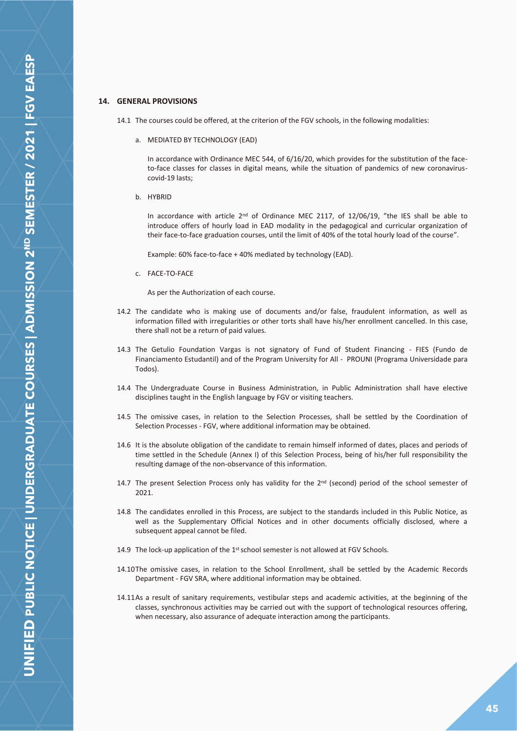## <span id="page-44-0"></span>**14. GENERAL PROVISIONS**

- 14.1 The courses could be offered, at the criterion of the FGV schools, in the following modalities:
	- a. MEDIATED BY TECHNOLOGY (EAD)

In accordance with Ordinance MEC 544, of 6/16/20, which provides for the substitution of the faceto-face classes for classes in digital means, while the situation of pandemics of new coronaviruscovid-19 lasts;

b. HYBRID

In accordance with article  $2<sup>nd</sup>$  of Ordinance MEC 2117, of 12/06/19, "the IES shall be able to introduce offers of hourly load in EAD modality in the pedagogical and curricular organization of their face-to-face graduation courses, until the limit of 40% of the total hourly load of the course".

Example: 60% face-to-face + 40% mediated by technology (EAD).

c. FACE-TO-FACE

As per the Authorization of each course.

- 14.2 The candidate who is making use of documents and/or false, fraudulent information, as well as information filled with irregularities or other torts shall have his/her enrollment cancelled. In this case, there shall not be a return of paid values.
- 14.3 The Getulio Foundation Vargas is not signatory of Fund of Student Financing FIES (Fundo de Financiamento Estudantil) and of the Program University for All - PROUNI (Programa Universidade para Todos).
- 14.4 The Undergraduate Course in Business Administration, in Public Administration shall have elective disciplines taught in the English language by FGV or visiting teachers.
- 14.5 The omissive cases, in relation to the Selection Processes, shall be settled by the Coordination of Selection Processes - FGV, where additional information may be obtained.
- 14.6 It is the absolute obligation of the candidate to remain himself informed of dates, places and periods of time settled in the Schedule (Annex I) of this Selection Process, being of his/her full responsibility the resulting damage of the non-observance of this information.
- 14.7 The present Selection Process only has validity for the  $2<sup>nd</sup>$  (second) period of the school semester of 2021.
- 14.8 The candidates enrolled in this Process, are subject to the standards included in this Public Notice, as well as the Supplementary Official Notices and in other documents officially disclosed, where a subsequent appeal cannot be filed.
- 14.9 The lock-up application of the 1<sup>st</sup> school semester is not allowed at FGV Schools.
- 14.10The omissive cases, in relation to the School Enrollment, shall be settled by the Academic Records Department - FGV SRA, where additional information may be obtained.
- 14.11As a result of sanitary requirements, vestibular steps and academic activities, at the beginning of the classes, synchronous activities may be carried out with the support of technological resources offering, when necessary, also assurance of adequate interaction among the participants.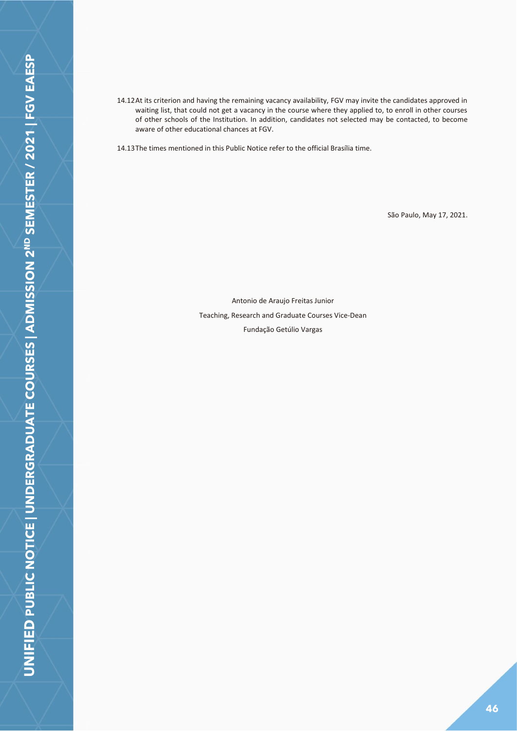14.12At its criterion and having the remaining vacancy availability, FGV may invite the candidates approved in waiting list, that could not get a vacancy in the course where they applied to, to enroll in other courses of other schools of the Institution. In addition, candidates not selected may be contacted, to become aware of other educational chances at FGV.

14.13The times mentioned in this Public Notice refer to the official Brasília time.

São Paulo, May 17, 2021.

Antonio de Araujo Freitas Junior Teaching, Research and Graduate Courses Vice-Dean Fundação Getúlio Vargas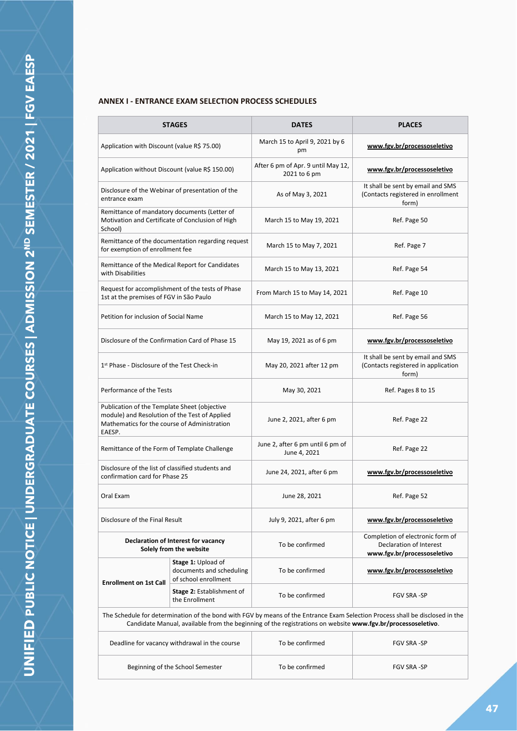# <span id="page-46-0"></span>**ANNEX I - ENTRANCE EXAM SELECTION PROCESS SCHEDULES**

|                                                                                                                                                         | <b>STAGES</b>                                                                 | <b>DATES</b>                                                                                                | <b>PLACES</b>                                                                                                                 |
|---------------------------------------------------------------------------------------------------------------------------------------------------------|-------------------------------------------------------------------------------|-------------------------------------------------------------------------------------------------------------|-------------------------------------------------------------------------------------------------------------------------------|
| Application with Discount (value R\$ 75.00)                                                                                                             |                                                                               | March 15 to April 9, 2021 by 6<br>pm                                                                        | www.fgv.br/processoseletivo                                                                                                   |
| Application without Discount (value R\$ 150.00)                                                                                                         |                                                                               | After 6 pm of Apr. 9 until May 12,<br>2021 to 6 pm                                                          | www.fgv.br/processoseletivo                                                                                                   |
| entrance exam                                                                                                                                           | Disclosure of the Webinar of presentation of the                              | As of May 3, 2021                                                                                           | It shall be sent by email and SMS<br>(Contacts registered in enrollment<br>form)                                              |
| Remittance of mandatory documents (Letter of<br>Motivation and Certificate of Conclusion of High<br>School)                                             |                                                                               | March 15 to May 19, 2021                                                                                    | Ref. Page 50                                                                                                                  |
| for exemption of enrollment fee                                                                                                                         | Remittance of the documentation regarding request                             | March 15 to May 7, 2021                                                                                     | Ref. Page 7                                                                                                                   |
| with Disabilities                                                                                                                                       | Remittance of the Medical Report for Candidates                               | March 15 to May 13, 2021                                                                                    | Ref. Page 54                                                                                                                  |
| 1st at the premises of FGV in São Paulo                                                                                                                 | Request for accomplishment of the tests of Phase                              | From March 15 to May 14, 2021                                                                               | Ref. Page 10                                                                                                                  |
| Petition for inclusion of Social Name                                                                                                                   |                                                                               | March 15 to May 12, 2021                                                                                    | Ref. Page 56                                                                                                                  |
| Disclosure of the Confirmation Card of Phase 15                                                                                                         |                                                                               | May 19, 2021 as of 6 pm                                                                                     | www.fgv.br/processoseletivo                                                                                                   |
| 1 <sup>st</sup> Phase - Disclosure of the Test Check-in                                                                                                 |                                                                               | May 20, 2021 after 12 pm                                                                                    | It shall be sent by email and SMS<br>(Contacts registered in application<br>form)                                             |
| Performance of the Tests                                                                                                                                |                                                                               | May 30, 2021                                                                                                | Ref. Pages 8 to 15                                                                                                            |
| Publication of the Template Sheet (objective<br>module) and Resolution of the Test of Applied<br>Mathematics for the course of Administration<br>EAESP. |                                                                               | June 2, 2021, after 6 pm                                                                                    | Ref. Page 22                                                                                                                  |
| Remittance of the Form of Template Challenge                                                                                                            |                                                                               | June 2, after 6 pm until 6 pm of<br>June 4, 2021                                                            | Ref. Page 22                                                                                                                  |
| Disclosure of the list of classified students and<br>confirmation card for Phase 25                                                                     |                                                                               | June 24, 2021, after 6 pm                                                                                   | www.fgv.br/processoseletivo                                                                                                   |
| Oral Exam                                                                                                                                               |                                                                               | June 28, 2021                                                                                               | Ref. Page 52                                                                                                                  |
| Disclosure of the Final Result                                                                                                                          |                                                                               | July 9, 2021, after 6 pm                                                                                    | www.fgv.br/processoseletivo                                                                                                   |
|                                                                                                                                                         | Declaration of Interest for vacancy<br>Solely from the website                | To be confirmed                                                                                             | Completion of electronic form of<br>Declaration of Interest<br>www.fgv.br/processoseletivo                                    |
|                                                                                                                                                         | <b>Stage 1: Upload of</b><br>documents and scheduling<br>of school enrollment | To be confirmed                                                                                             | www.fgv.br/processoseletivo                                                                                                   |
| <b>Enrollment on 1st Call</b>                                                                                                                           | Stage 2: Establishment of<br>the Enrollment                                   | To be confirmed                                                                                             | <b>FGV SRA-SP</b>                                                                                                             |
|                                                                                                                                                         |                                                                               | Candidate Manual, available from the beginning of the registrations on website www.fgv.br/processoseletivo. | The Schedule for determination of the bond with FGV by means of the Entrance Exam Selection Process shall be disclosed in the |
|                                                                                                                                                         | Deadline for vacancy withdrawal in the course                                 | To be confirmed                                                                                             | FGV SRA-SP                                                                                                                    |
|                                                                                                                                                         | Beginning of the School Semester                                              | To be confirmed                                                                                             | FGV SRA-SP                                                                                                                    |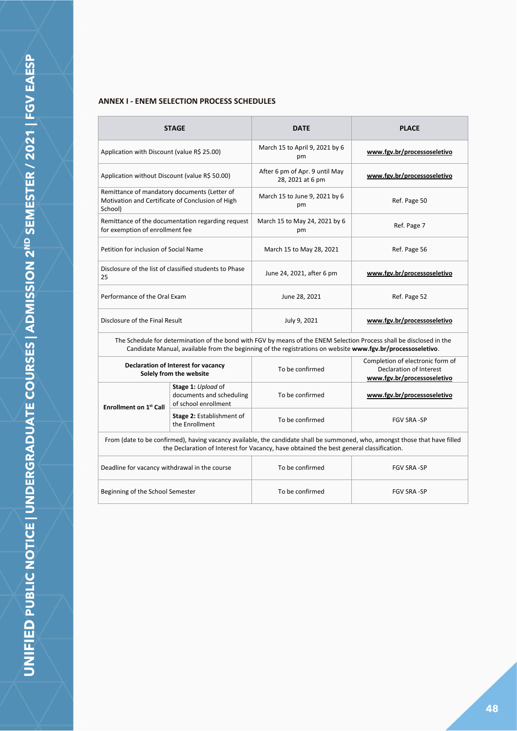## **ANNEX I - ENEM SELECTION PROCESS SCHEDULES**

| į                                                           |  |
|-------------------------------------------------------------|--|
|                                                             |  |
|                                                             |  |
| <b>NASAS</b>                                                |  |
|                                                             |  |
|                                                             |  |
|                                                             |  |
|                                                             |  |
|                                                             |  |
|                                                             |  |
|                                                             |  |
|                                                             |  |
| CHARLACHA TOCO A CHARLACHA CHO ANGELA A ALASAN ANG ANGELA A |  |
|                                                             |  |
|                                                             |  |
|                                                             |  |
|                                                             |  |
|                                                             |  |
|                                                             |  |
|                                                             |  |
|                                                             |  |
|                                                             |  |
|                                                             |  |
|                                                             |  |
|                                                             |  |
|                                                             |  |
|                                                             |  |
|                                                             |  |
|                                                             |  |
|                                                             |  |
| Ş                                                           |  |
|                                                             |  |
|                                                             |  |
|                                                             |  |
|                                                             |  |
|                                                             |  |
|                                                             |  |
|                                                             |  |
|                                                             |  |
|                                                             |  |
|                                                             |  |
|                                                             |  |
|                                                             |  |
|                                                             |  |
|                                                             |  |
|                                                             |  |
|                                                             |  |
|                                                             |  |
|                                                             |  |
|                                                             |  |
|                                                             |  |
|                                                             |  |
|                                                             |  |
|                                                             |  |

 $\mathbf{r}$ 

|                                                                                                                                                                                                                                     | <b>STAGE</b>                                                           | <b>DATE</b>                                        | <b>PLACE</b>                                                                               |
|-------------------------------------------------------------------------------------------------------------------------------------------------------------------------------------------------------------------------------------|------------------------------------------------------------------------|----------------------------------------------------|--------------------------------------------------------------------------------------------|
| Application with Discount (value R\$ 25.00)                                                                                                                                                                                         |                                                                        | March 15 to April 9, 2021 by 6<br>pm               | www.fgv.br/processoseletivo                                                                |
| Application without Discount (value R\$ 50.00)                                                                                                                                                                                      |                                                                        | After 6 pm of Apr. 9 until May<br>28, 2021 at 6 pm | www.fgv.br/processoseletivo                                                                |
| Remittance of mandatory documents (Letter of<br>Motivation and Certificate of Conclusion of High<br>School)                                                                                                                         |                                                                        | March 15 to June 9, 2021 by 6<br>pm                | Ref. Page 50                                                                               |
| Remittance of the documentation regarding request<br>for exemption of enrollment fee                                                                                                                                                |                                                                        | March 15 to May 24, 2021 by 6<br>pm                | Ref. Page 7                                                                                |
| Petition for inclusion of Social Name                                                                                                                                                                                               |                                                                        | March 15 to May 28, 2021                           | Ref. Page 56                                                                               |
| Disclosure of the list of classified students to Phase<br>25                                                                                                                                                                        |                                                                        | June 24, 2021, after 6 pm                          | www.fgv.br/processoseletivo                                                                |
| Performance of the Oral Exam                                                                                                                                                                                                        |                                                                        | June 28, 2021                                      | Ref. Page 52                                                                               |
| Disclosure of the Final Result                                                                                                                                                                                                      |                                                                        | July 9, 2021                                       | www.fgv.br/processoseletivo                                                                |
| The Schedule for determination of the bond with FGV by means of the ENEM Selection Process shall be disclosed in the<br>Candidate Manual, available from the beginning of the registrations on website www.fgv.br/processoseletivo. |                                                                        |                                                    |                                                                                            |
|                                                                                                                                                                                                                                     | Declaration of Interest for vacancy<br>Solely from the website         | To be confirmed                                    | Completion of electronic form of<br>Declaration of Interest<br>www.fgv.br/processoseletivo |
| <b>Enrollment on 1st Call</b>                                                                                                                                                                                                       | Stage 1: Upload of<br>documents and scheduling<br>of school enrollment | To be confirmed                                    | www.fgv.br/processoseletivo                                                                |
|                                                                                                                                                                                                                                     |                                                                        |                                                    |                                                                                            |

From (date to be confirmed), having vacancy available, the candidate shall be summoned, who, amongst those that have filled the Declaration of Interest for Vacancy, have obtained the best general classification.

Stage 2: Establishment of To be confirmed FGV SRA -SP<br>the Enrollment

**Stage 2:** Establishment of

| Deadline for vacancy withdrawal in the course | To be confirmed | FGV SRA -SP        |
|-----------------------------------------------|-----------------|--------------------|
| Beginning of the School Semester              | To be confirmed | <b>FGV SRA -SP</b> |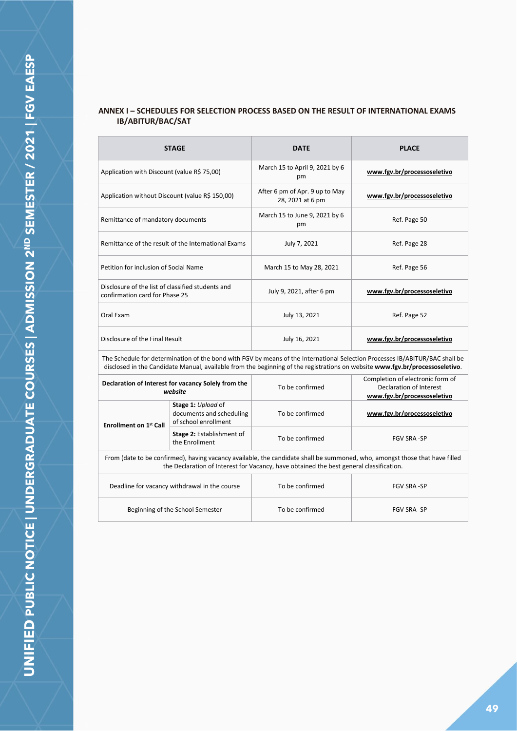# **ANNEX I – SCHEDULES FOR SELECTION PROCESS BASED ON THE RESULT OF INTERNATIONAL EXAMS IB/ABITUR/BAC/SAT**

|                                                                                                                                                                                                                                                              | <b>STAGE</b>                                                           | <b>DATE</b>                                        | <b>PLACE</b>                                                                               |
|--------------------------------------------------------------------------------------------------------------------------------------------------------------------------------------------------------------------------------------------------------------|------------------------------------------------------------------------|----------------------------------------------------|--------------------------------------------------------------------------------------------|
| Application with Discount (value R\$ 75,00)                                                                                                                                                                                                                  |                                                                        | March 15 to April 9, 2021 by 6<br>pm               | www.fgv.br/processoseletivo                                                                |
| Application without Discount (value R\$ 150,00)                                                                                                                                                                                                              |                                                                        | After 6 pm of Apr. 9 up to May<br>28, 2021 at 6 pm | www.fgv.br/processoseletivo                                                                |
| Remittance of mandatory documents                                                                                                                                                                                                                            |                                                                        | March 15 to June 9, 2021 by 6<br>pm                | Ref. Page 50                                                                               |
|                                                                                                                                                                                                                                                              | Remittance of the result of the International Exams                    | July 7, 2021                                       | Ref. Page 28                                                                               |
| Petition for inclusion of Social Name                                                                                                                                                                                                                        |                                                                        | March 15 to May 28, 2021                           | Ref. Page 56                                                                               |
| Disclosure of the list of classified students and<br>confirmation card for Phase 25                                                                                                                                                                          |                                                                        | July 9, 2021, after 6 pm                           | www.fgv.br/processoseletivo                                                                |
| Oral Exam                                                                                                                                                                                                                                                    |                                                                        | July 13, 2021                                      | Ref. Page 52                                                                               |
| Disclosure of the Final Result                                                                                                                                                                                                                               |                                                                        | July 16, 2021                                      | www.fgv.br/processoseletivo                                                                |
| The Schedule for determination of the bond with FGV by means of the International Selection Processes IB/ABITUR/BAC shall be<br>disclosed in the Candidate Manual, available from the beginning of the registrations on website www.fgv.br/processoseletivo. |                                                                        |                                                    |                                                                                            |
| Declaration of Interest for vacancy Solely from the<br>website                                                                                                                                                                                               |                                                                        | To be confirmed                                    | Completion of electronic form of<br>Declaration of Interest<br>www.fgv.br/processoseletivo |
| <b>Enrollment on 1st Call</b>                                                                                                                                                                                                                                | Stage 1: Upload of<br>documents and scheduling<br>of school enrollment | To be confirmed                                    | www.fgv.br/processoseletivo                                                                |
|                                                                                                                                                                                                                                                              | Stage 2: Establishment of<br>the Enrollment                            | To be confirmed                                    | <b>FGV SRA-SP</b>                                                                          |
| From (date to be confirmed), having vacancy available, the candidate shall be summoned, who, amongst those that have filled                                                                                                                                  |                                                                        |                                                    |                                                                                            |

the Declaration of Interest for Vacancy, have obtained the best general classification.

| Deadline for vacancy withdrawal in the course | To be confirmed | <b>FGV SRA -SP</b> |
|-----------------------------------------------|-----------------|--------------------|
| Beginning of the School Semester              | To be confirmed | <b>FGV SRA -SP</b> |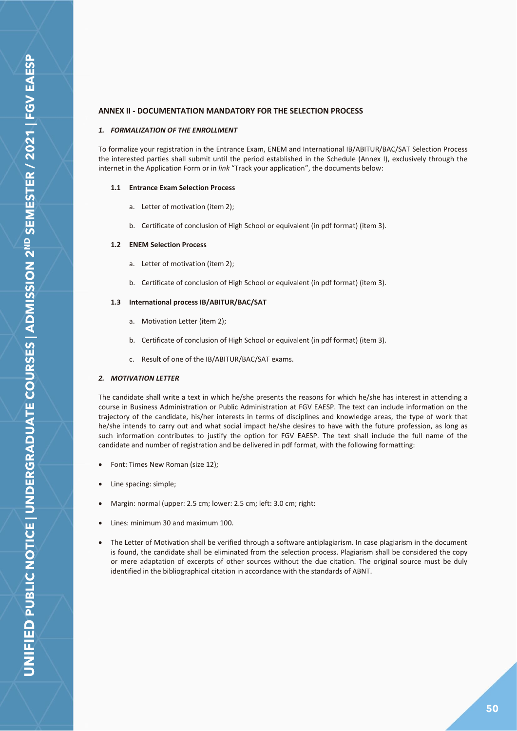## <span id="page-49-0"></span>**ANNEX II - DOCUMENTATION MANDATORY FOR THE SELECTION PROCESS**

#### *1. FORMALIZATION OF THE ENROLLMENT*

To formalize your registration in the Entrance Exam, ENEM and International IB/ABITUR/BAC/SAT Selection Process the interested parties shall submit until the period established in the Schedule (Annex I), exclusively through the internet in the Application Form or in *link* "Track your application", the documents below:

#### **1.1 Entrance Exam Selection Process**

- a. Letter of motivation (item 2);
- b. Certificate of conclusion of High School or equivalent (in pdf format) (item 3).

#### **1.2 ENEM Selection Process**

- a. Letter of motivation (item 2);
- b. Certificate of conclusion of High School or equivalent (in pdf format) (item 3).

#### **1.3 International process IB/ABITUR/BAC/SAT**

- a. Motivation Letter (item 2);
- b. Certificate of conclusion of High School or equivalent (in pdf format) (item 3).
- c. Result of one of the IB/ABITUR/BAC/SAT exams.

#### *2. MOTIVATION LETTER*

The candidate shall write a text in which he/she presents the reasons for which he/she has interest in attending a course in Business Administration or Public Administration at FGV EAESP. The text can include information on the trajectory of the candidate, his/her interests in terms of disciplines and knowledge areas, the type of work that he/she intends to carry out and what social impact he/she desires to have with the future profession, as long as such information contributes to justify the option for FGV EAESP. The text shall include the full name of the candidate and number of registration and be delivered in pdf format, with the following formatting:

- Font: Times New Roman (size 12);
- Line spacing: simple;
- Margin: normal (upper: 2.5 cm; lower: 2.5 cm; left: 3.0 cm; right:
- Lines: minimum 30 and maximum 100.
- The Letter of Motivation shall be verified through a software antiplagiarism. In case plagiarism in the document is found, the candidate shall be eliminated from the selection process. Plagiarism shall be considered the copy or mere adaptation of excerpts of other sources without the due citation. The original source must be duly identified in the bibliographical citation in accordance with the standards of ABNT.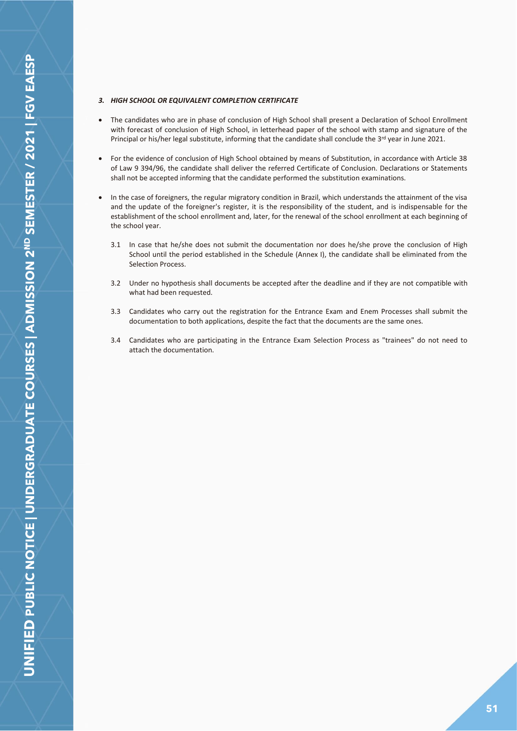#### *3. HIGH SCHOOL OR EQUIVALENT COMPLETION CERTIFICATE*

- The candidates who are in phase of conclusion of High School shall present a Declaration of School Enrollment with forecast of conclusion of High School, in letterhead paper of the school with stamp and signature of the Principal or his/her legal substitute, informing that the candidate shall conclude the  $3^{rd}$  year in June 2021.
- For the evidence of conclusion of High School obtained by means of Substitution, in accordance with Article 38 of Law 9 394/96, the candidate shall deliver the referred Certificate of Conclusion. Declarations or Statements shall not be accepted informing that the candidate performed the substitution examinations.
- In the case of foreigners, the regular migratory condition in Brazil, which understands the attainment of the visa and the update of the foreigner's register, it is the responsibility of the student, and is indispensable for the establishment of the school enrollment and, later, for the renewal of the school enrollment at each beginning of the school year.
	- 3.1 In case that he/she does not submit the documentation nor does he/she prove the conclusion of High School until the period established in the Schedule (Annex I), the candidate shall be eliminated from the Selection Process.
	- 3.2 Under no hypothesis shall documents be accepted after the deadline and if they are not compatible with what had been requested.
	- 3.3 Candidates who carry out the registration for the Entrance Exam and Enem Processes shall submit the documentation to both applications, despite the fact that the documents are the same ones.
	- 3.4 Candidates who are participating in the Entrance Exam Selection Process as "trainees" do not need to attach the documentation.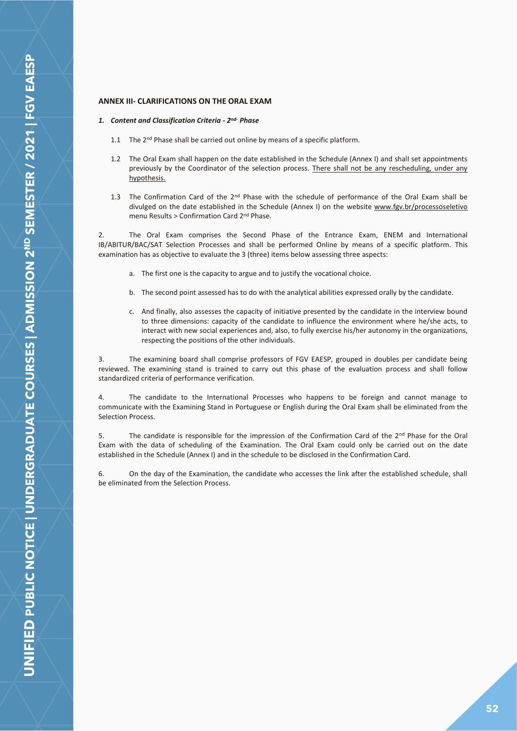## <span id="page-51-0"></span>**ANNEX III- CLARIFICATIONS ON THE ORAL EXAM**

#### *1. Content and Classification Criteria - 2 nd- Phase*

- 1.1 The 2<sup>nd</sup> Phase shall be carried out online by means of a specific platform.
- 1.2 The Oral Exam shall happen on the date established in the Schedule (Annex I) and shall set appointments previously by the Coordinator of the selection process. There shall not be any rescheduling, under any hypothesis.
- 1.3 The Confirmation Card of the  $2^{nd}$  Phase with the schedule of performance of the Oral Exam shall be divulged on the date established in the Schedule (Annex I) on the website www.fgv.br/processoseletivo menu Results > Confirmation Card 2nd Phase.

2. The Oral Exam comprises the Second Phase of the Entrance Exam, ENEM and International IB/ABITUR/BAC/SAT Selection Processes and shall be performed Online by means of a specific platform. This examination has as objective to evaluate the 3 (three) items below assessing three aspects:

- a. The first one is the capacity to argue and to justify the vocational choice.
- b. The second point assessed has to do with the analytical abilities expressed orally by the candidate.
- c. And finally, also assesses the capacity of initiative presented by the candidate in the interview bound to three dimensions: capacity of the candidate to influence the environment where he/she acts, to interact with new social experiences and, also, to fully exercise his/her autonomy in the organizations, respecting the positions of the other individuals.

3. The examining board shall comprise professors of FGV EAESP, grouped in doubles per candidate being reviewed. The examining stand is trained to carry out this phase of the evaluation process and shall follow standardized criteria of performance verification.

4. The candidate to the International Processes who happens to be foreign and cannot manage to communicate with the Examining Stand in Portuguese or English during the Oral Exam shall be eliminated from the Selection Process.

5. The candidate is responsible for the impression of the Confirmation Card of the 2<sup>nd</sup> Phase for the Oral Exam with the data of scheduling of the Examination. The Oral Exam could only be carried out on the date established in the Schedule (Annex I) and in the schedule to be disclosed in the Confirmation Card.

6. On the day of the Examination, the candidate who accesses the link after the established schedule, shall be eliminated from the Selection Process.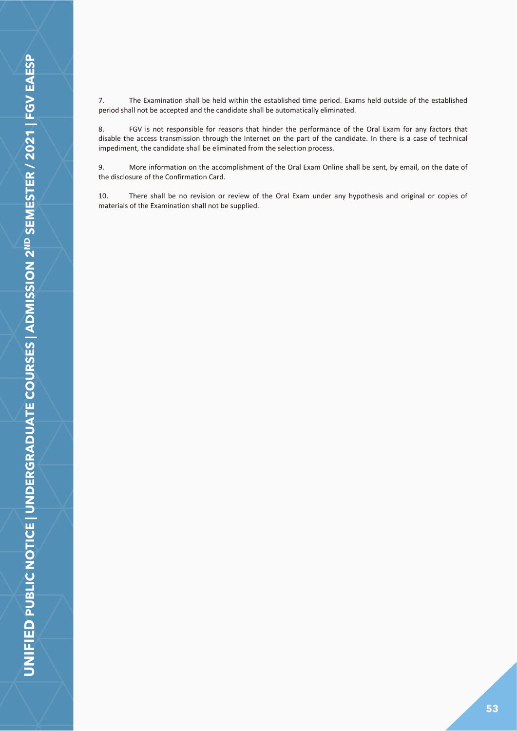8. FGV is not responsible for reasons that hinder the performance of the Oral Exam for any factors that disable the access transmission through the Internet on the part of the candidate. In there is a case of technical impediment, the candidate shall be eliminated from the selection process.

9. More information on the accomplishment of the Oral Exam Online shall be sent, by email, on the date of the disclosure of the Confirmation Card.

10. There shall be no revision or review of the Oral Exam under any hypothesis and original or copies of materials of the Examination shall not be supplied.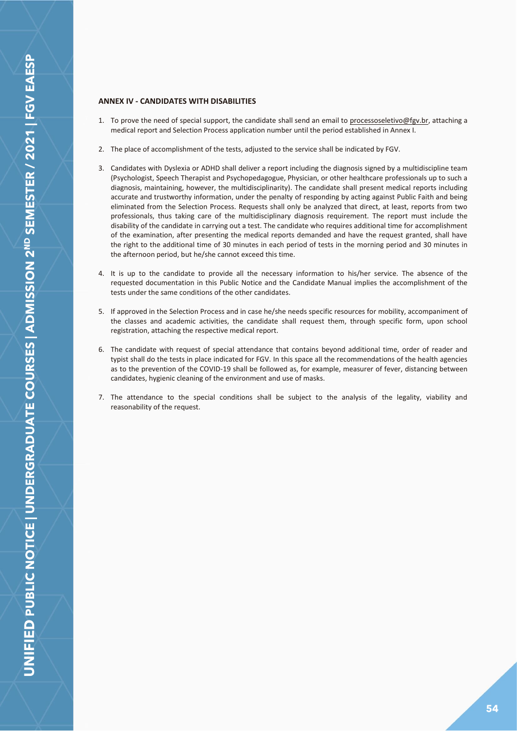## <span id="page-53-0"></span>**ANNEX IV - CANDIDATES WITH DISABILITIES**

- 1. To prove the need of special support, the candidate shall send an email to processoseletivo@fgv.br, attaching a medical report and Selection Process application number until the period established in Annex I.
- 2. The place of accomplishment of the tests, adjusted to the service shall be indicated by FGV.
- 3. Candidates with Dyslexia or ADHD shall deliver a report including the diagnosis signed by a multidiscipline team (Psychologist, Speech Therapist and Psychopedagogue, Physician, or other healthcare professionals up to such a diagnosis, maintaining, however, the multidisciplinarity). The candidate shall present medical reports including accurate and trustworthy information, under the penalty of responding by acting against Public Faith and being eliminated from the Selection Process. Requests shall only be analyzed that direct, at least, reports from two professionals, thus taking care of the multidisciplinary diagnosis requirement. The report must include the disability of the candidate in carrying out a test. The candidate who requires additional time for accomplishment of the examination, after presenting the medical reports demanded and have the request granted, shall have the right to the additional time of 30 minutes in each period of tests in the morning period and 30 minutes in the afternoon period, but he/she cannot exceed this time.
- 4. It is up to the candidate to provide all the necessary information to his/her service. The absence of the requested documentation in this Public Notice and the Candidate Manual implies the accomplishment of the tests under the same conditions of the other candidates.
- 5. If approved in the Selection Process and in case he/she needs specific resources for mobility, accompaniment of the classes and academic activities, the candidate shall request them, through specific form, upon school registration, attaching the respective medical report.
- 6. The candidate with request of special attendance that contains beyond additional time, order of reader and typist shall do the tests in place indicated for FGV. In this space all the recommendations of the health agencies as to the prevention of the COVID-19 shall be followed as, for example, measurer of fever, distancing between candidates, hygienic cleaning of the environment and use of masks.
- 7. The attendance to the special conditions shall be subject to the analysis of the legality, viability and reasonability of the request.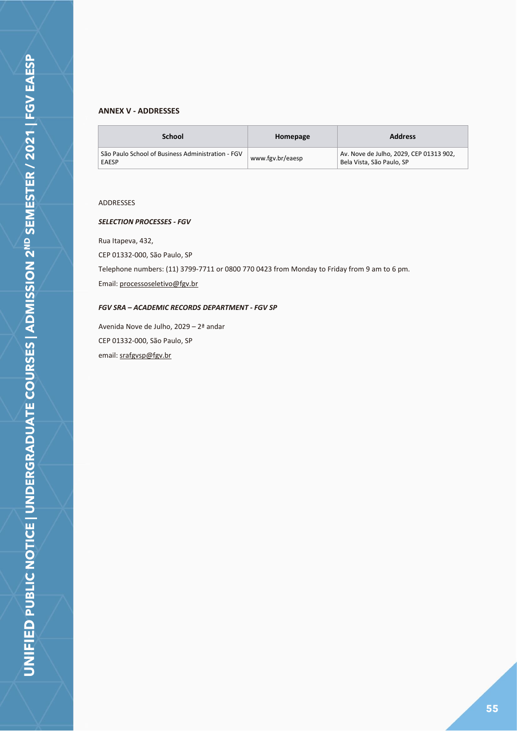## <span id="page-54-0"></span>**ANNEX V - ADDRESSES**

| School                                                            | Homepage         | <b>Address</b>                                                       |
|-------------------------------------------------------------------|------------------|----------------------------------------------------------------------|
| São Paulo School of Business Administration - FGV<br><b>EAESP</b> | www.fgv.br/eaesp | Av. Nove de Julho, 2029, CEP 01313 902,<br>Bela Vista, São Paulo, SP |

## ADDRESSES

## *SELECTION PROCESSES - FGV*

Rua Itapeva, 432,

CEP 01332-000, São Paulo, SP

Telephone numbers: (11) 3799-7711 or 0800 770 0423 from Monday to Friday from 9 am to 6 pm.

Email: processoseletivo@fgv.br

## *FGV SRA – ACADEMIC RECORDS DEPARTMENT - FGV SP*

Avenida Nove de Julho, 2029 – 2ª andar CEP 01332-000, São Paulo, SP email: srafgvsp@fgv.br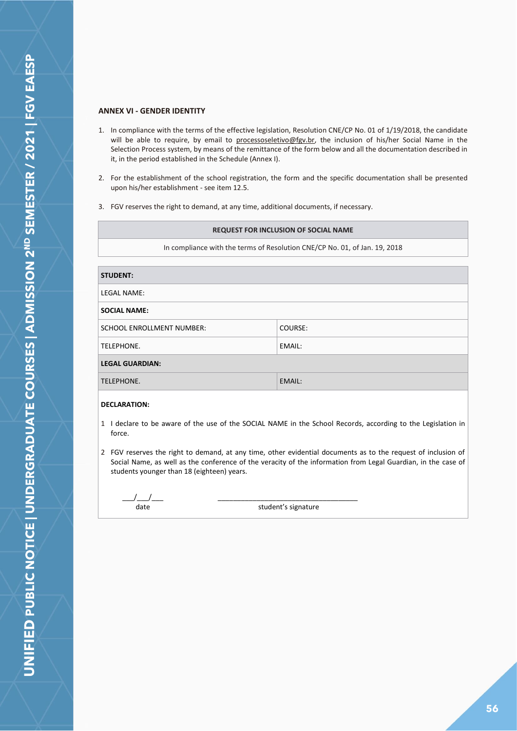## <span id="page-55-0"></span>**ANNEX VI - GENDER IDENTITY**

- 1. In compliance with the terms of the effective legislation, Resolution CNE/CP No. 01 of 1/19/2018, the candidate will be able to require, by email to processoseletivo@fgv.br, the inclusion of his/her Social Name in the Selection Process system, by means of the remittance of the form below and all the documentation described in it, in the period established in the Schedule (Annex I).
- 2. For the establishment of the school registration, the form and the specific documentation shall be presented upon his/her establishment - see item 12.5.
- 3. FGV reserves the right to demand, at any time, additional documents, if necessary.

| <b>REQUEST FOR INCLUSION OF SOCIAL NAME</b>                                |         |  |  |
|----------------------------------------------------------------------------|---------|--|--|
| In compliance with the terms of Resolution CNE/CP No. 01, of Jan. 19, 2018 |         |  |  |
|                                                                            |         |  |  |
| <b>STUDENT:</b>                                                            |         |  |  |
| LEGAL NAME:                                                                |         |  |  |
| <b>SOCIAL NAME:</b>                                                        |         |  |  |
| SCHOOL ENROLLMENT NUMBER:                                                  | COURSE: |  |  |
| TELEPHONE.                                                                 | EMAIL:  |  |  |
| <b>LEGAL GUARDIAN:</b>                                                     |         |  |  |
| TELEPHONE.<br>EMAIL:                                                       |         |  |  |
|                                                                            |         |  |  |

## **DECLARATION:**

- 1 I declare to be aware of the use of the SOCIAL NAME in the School Records, according to the Legislation in force.
- 2 FGV reserves the right to demand, at any time, other evidential documents as to the request of inclusion of Social Name, as well as the conference of the veracity of the information from Legal Guardian, in the case of students younger than 18 (eighteen) years.

 $\_\,\_\,\_\,\_\,\_\$ date

\_\_\_\_\_\_\_\_\_\_\_\_\_\_\_\_\_\_\_\_\_\_\_\_\_\_\_\_\_\_\_\_\_\_\_\_ student's signature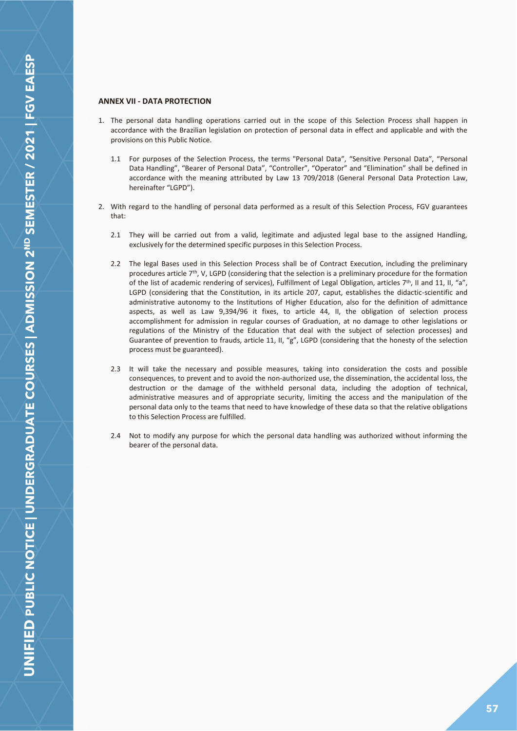## <span id="page-56-0"></span>**ANNEX VII - DATA PROTECTION**

- 1. The personal data handling operations carried out in the scope of this Selection Process shall happen in accordance with the Brazilian legislation on protection of personal data in effect and applicable and with the provisions on this Public Notice.
	- 1.1 For purposes of the Selection Process, the terms "Personal Data", "Sensitive Personal Data", "Personal Data Handling", "Bearer of Personal Data", "Controller", "Operator" and "Elimination" shall be defined in accordance with the meaning attributed by Law 13 709/2018 (General Personal Data Protection Law, hereinafter "LGPD").
- 2. With regard to the handling of personal data performed as a result of this Selection Process, FGV guarantees that:
	- 2.1 They will be carried out from a valid, legitimate and adjusted legal base to the assigned Handling, exclusively for the determined specific purposes in this Selection Process.
	- 2.2 The legal Bases used in this Selection Process shall be of Contract Execution, including the preliminary procedures article  $7<sup>th</sup>$ , V, LGPD (considering that the selection is a preliminary procedure for the formation of the list of academic rendering of services), Fulfillment of Legal Obligation, articles 7th, II and 11, II, "a", LGPD (considering that the Constitution, in its article 207, caput, establishes the didactic-scientific and administrative autonomy to the Institutions of Higher Education, also for the definition of admittance aspects, as well as Law 9,394/96 it fixes, to article 44, II, the obligation of selection process accomplishment for admission in regular courses of Graduation, at no damage to other legislations or regulations of the Ministry of the Education that deal with the subject of selection processes) and Guarantee of prevention to frauds, article 11, II, "g", LGPD (considering that the honesty of the selection process must be guaranteed).
	- 2.3 It will take the necessary and possible measures, taking into consideration the costs and possible consequences, to prevent and to avoid the non-authorized use, the dissemination, the accidental loss, the destruction or the damage of the withheld personal data, including the adoption of technical, administrative measures and of appropriate security, limiting the access and the manipulation of the personal data only to the teams that need to have knowledge of these data so that the relative obligations to this Selection Process are fulfilled.
	- 2.4 Not to modify any purpose for which the personal data handling was authorized without informing the bearer of the personal data.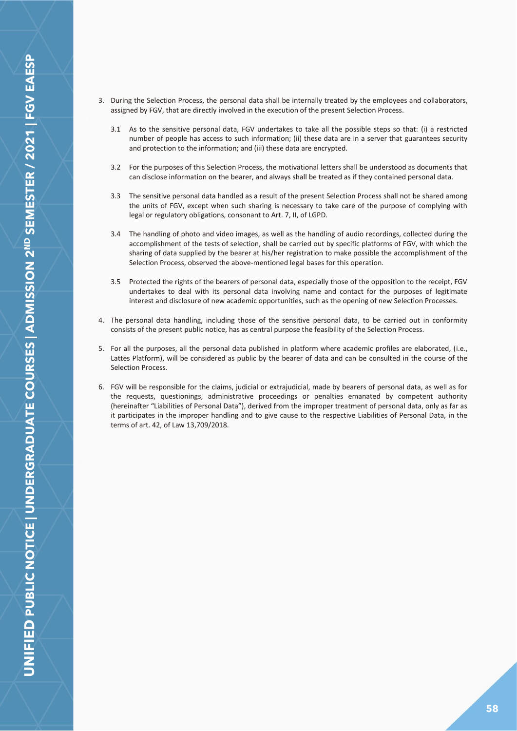- 3. During the Selection Process, the personal data shall be internally treated by the employees and collaborators, assigned by FGV, that are directly involved in the execution of the present Selection Process.
	- 3.1 As to the sensitive personal data, FGV undertakes to take all the possible steps so that: (i) a restricted number of people has access to such information; (ii) these data are in a server that guarantees security and protection to the information; and (iii) these data are encrypted.
	- 3.2 For the purposes of this Selection Process, the motivational letters shall be understood as documents that can disclose information on the bearer, and always shall be treated as if they contained personal data.
	- 3.3 The sensitive personal data handled as a result of the present Selection Process shall not be shared among the units of FGV, except when such sharing is necessary to take care of the purpose of complying with legal or regulatory obligations, consonant to Art. 7, II, of LGPD.
	- 3.4 The handling of photo and video images, as well as the handling of audio recordings, collected during the accomplishment of the tests of selection, shall be carried out by specific platforms of FGV, with which the sharing of data supplied by the bearer at his/her registration to make possible the accomplishment of the Selection Process, observed the above-mentioned legal bases for this operation.
	- 3.5 Protected the rights of the bearers of personal data, especially those of the opposition to the receipt, FGV undertakes to deal with its personal data involving name and contact for the purposes of legitimate interest and disclosure of new academic opportunities, such as the opening of new Selection Processes.
- 4. The personal data handling, including those of the sensitive personal data, to be carried out in conformity consists of the present public notice, has as central purpose the feasibility of the Selection Process.
- 5. For all the purposes, all the personal data published in platform where academic profiles are elaborated, (i.e., Lattes Platform), will be considered as public by the bearer of data and can be consulted in the course of the Selection Process.
- 6. FGV will be responsible for the claims, judicial or extrajudicial, made by bearers of personal data, as well as for the requests, questionings, administrative proceedings or penalties emanated by competent authority (hereinafter "Liabilities of Personal Data"), derived from the improper treatment of personal data, only as far as it participates in the improper handling and to give cause to the respective Liabilities of Personal Data, in the terms of art. 42, of Law 13,709/2018.